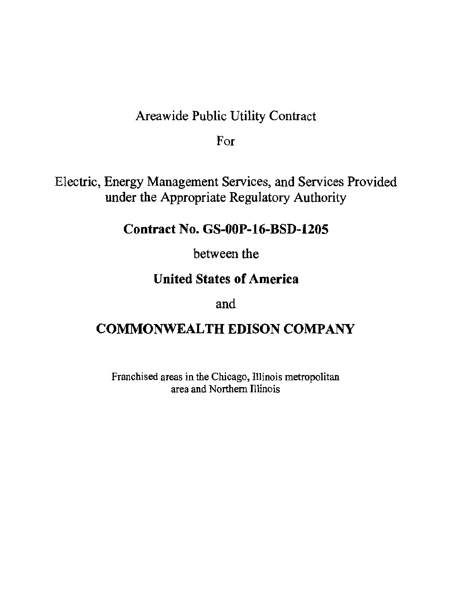# Areawide Public Utility Contract

For

Electric, Energy Management Services, and Services Provided under the Appropriate Regulatory Authority

# Contract No. GS-OOP-16-BSD-1205

between the

# **United States of America**

and

# COMMONWEALTH EDISON COMPANY

Franchised areas in the Chicago, Illinois metropolitan area and Northern Illinois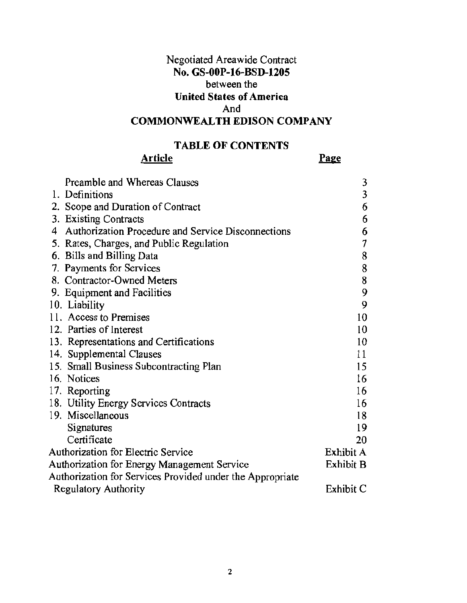## Negotiated Areawide Contract **No. GS-OOP-16-BSD-1205**  between the **United States of America**  And **COMMONWEALTH EDISON COMPANY**

## **TABLE OF CONTENTS**

## **Article**

Page

| Preamble and Whereas Clauses                              | 3         |
|-----------------------------------------------------------|-----------|
| 1. Definitions                                            | 3         |
| 2. Scope and Duration of Contract                         | 6         |
| 3. Existing Contracts                                     | 6         |
| 4 Authorization Procedure and Service Disconnections      | 6         |
| 5. Rates, Charges, and Public Regulation                  | 7         |
| 6. Bills and Billing Data                                 | 8         |
| 7. Payments for Services                                  | 8         |
| 8. Contractor-Owned Meters                                | 8         |
| 9. Equipment and Facilities                               | 9         |
| 10. Liability                                             | 9         |
| 11. Access to Premises                                    | 10        |
| 12. Parties of Interest                                   | 10        |
| 13. Representations and Certifications                    | 10        |
| 14. Supplemental Clauses                                  | 11        |
| 15. Small Business Subcontracting Plan                    | 15        |
| 16. Notices                                               | 16        |
| 17. Reporting                                             | 16        |
| 18. Utility Energy Services Contracts                     | 16        |
| 19. Miscellaneous                                         | 18        |
| Signatures                                                | 19        |
| Certificate                                               | 20        |
| Authorization for Electric Service                        | Exhibit A |
| Authorization for Energy Management Service               | Exhibit B |
| Authorization for Services Provided under the Appropriate |           |
| <b>Regulatory Authority</b>                               | Exhibit C |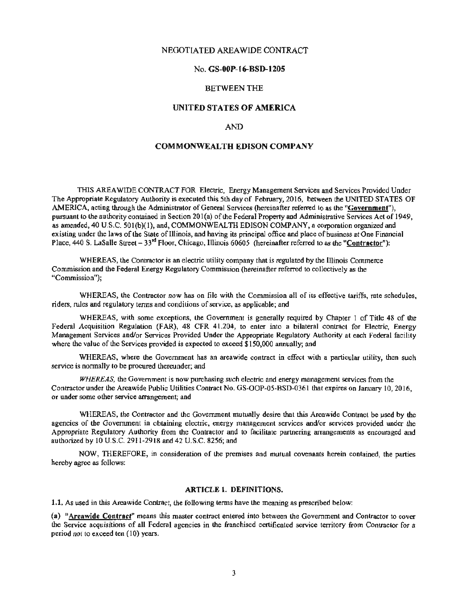## NEGOTIATED AREAWIDE CONTRACT

## No. GS-OOP-16-BSD-1205

## BETWEEN THE

## UNITED STATES OF AMERICA

## AND

## COMMONWEALTH EDISON COMPANY

THIS AREA WIDE CONTRACT FOR Electric, Energy Management Services and Services Provided Under The Appropriate Regulatory Authority is executed this 5th day of February, 2016, between the UNITED STA TES OF AMERICA, acting through the Administrator of General Services (hereinafter referred to as the "Government"). pursuant to the authority contained in Section 201(a) of the Federal Property and Administrative Services Act of 1949, as amended, 40 U.S.C. 501(b)(1), and, COMMONWEALTH EDISON COMPANY, a corporation organized and existing under the laws of the State of Illinois, and having its principal office and place of business at One Financial Place, 440 S. LaSalle Street  $-33<sup>rd</sup>$  Floor, Chicago, Illinois 60605 (hereinafter referred to as the "Contractor"):

WHEREAS, the Contractor is an electric utility company that is regulated by the Illinois Commerce Commission and the Federal Energy Regulatory Commission (hereinafter referred to collectively as the "Commission");

WHEREAS, the Contractor now has on file with the Commission all of its effective tariffs, rate schedules, riders, rules and regulatory tenns and conditions ofservice, as applicable; and

WHEREAS, with some exceptions, the Government is generally required by Chapter I of Title 48 of the Federal Acquisition Regulation (FAR), 48 CFR 41 .204, to enter into a bilateral contract for Electric, Energy Management Services and/or Services Provided Under the Appropriate Regulatory Authority at each Federal facility where the value of the Services provided is expected to exceed \$150,000 annually; and

WHEREAS, where the Government has an areawide contract in effect with a particular utility, then such service is normally to be procured thereunder; and

*WHEREAS.* the Government is now purchasing such electric and energy management services from the Contractor under the Areawide Public Utilities Contract No. GS-OOP-05-BSD-0361 that expires on January 10, 2016, or under some other service arrangement; and

WHEREAS, the Contractor and the Government mutually desire that this Areawide Contract be used by the agencies of the Government in obtaining electric, energy management services and/or services provided under the Appropriate Regulatory Authority from the Contractor and to facilitate partnering arrangements as encouraged and authorized by 10 U.S.C. 2911 -2918 and42 U.S.C. 8256; and

NOW, TIJEREFORE, in consideration of the premises and mutual covenants herein contained, the parties hereby agree as follows:

#### ARTICLE 1. DEFINITIONS.

1.1. As used in this Areawide Contract, the following terms have the meaning as prescribed below:

(a) "Areawide Contract" means this master contract entered into between the Government and Contractor to cover the Service acquisitions of all Federal agencies in the franchised certificated service territory from Contractor for a period not to exceed ten (10) years.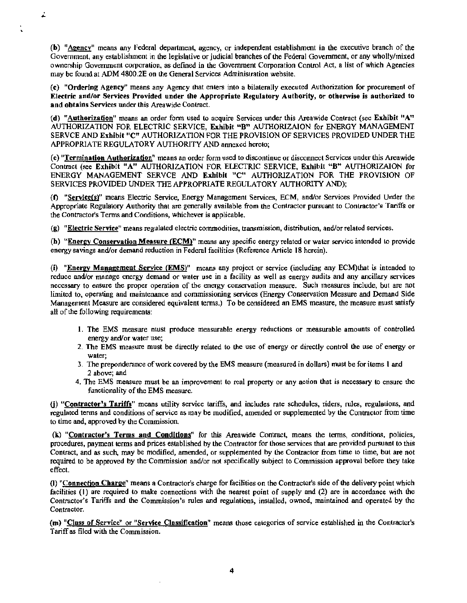(b) "Aeency" means any Federal department, agency, or independent establishment in the executive branch of the Government, any establishment in the legislative or judicial branches of the Federal Government, or any wholly/mixed ownership Government corporation, as defined in the Government Corporation Control Act, a list of which Agencies may be found at ADM 4800.2E on the General Services Administration website.

ż.

(c) "Ordering Agency" means any Agency that enters into a bilaterally executed Authorization for procurement of Electric and/or Services Provided under the Appropriate Regulatory Authority, or othenvise is authorized to and obtains Services under this Areawide Contract.

(d) "Authorization" means an order form used to acquire Services under this Areawide Contract (see Exhibit "A" AUTHORIZATION FOR ELECTRIC SERVICE, Exhibit "B" AUTHORIZAION for ENERGY MANAGEMENT SERVCE AND Exhibit "C" AUTHORIZATION FOR THE PROVISION OF SERVICES PROVIDED UNDER THE APPROPRIATE REGULA TORY AUTHORITY AND annexed hereto;

(e) "Termination Authorization" means an order form used to discontinue or disconnect Services under lhis Areawide Contract (see Exhibit "A" AUTHORIZATION FOR ELECTRIC SERVICE, Exhibit "B" AUTHORIZAION for ENERGY MANAGEMENT SERVCE AND Exhibit "C" AUTHORIZATION FOR THE PROVISION OF SERVICES PROVIDED UNDER THE APPROPRIATE REGULATORY AUTHORITY AND);

(f) "ServiceCs)" means Electric Service, Energy Management Services, ECM, and/or Services Provided Under the Appropriate Regulatory Authority that are generally availabie from the Contractor pursuant to Contractor's Tariffs or the Contractor's Terms and Conditions, whichever is applicable.

(g) "Electric Service" means regulated electric commodities, transmission, distribution, and/or related services.

(h) "Energy Conservation Measure (ECM)" means any specific energy related or water service intended to provide energy savings and/or demand reduction in Federal facilities (Reference Article 18 herein).

(i) "Energy Management Service (EMS)" means any project or service (including any ECM)that is intended to reduce and/or manage energy demand or water use in a facility as well as energy audits and any ancillary services necessary to ensure the proper operation of the energy conservation measure. Such measures include, but are not limited to, operating and maintenance and commissioning services (Energy Conservation Measure and Demand Side Management Measure are considered equivalent tenns.) To be considered an EMS measure, the measure must satisfy all of the following requirements:

- 1. The EMS measure must produce measurable energy reductions or measurable amounts of controlled energy and/or water use;
- 2. The EMS measure must be directly related to the use of energy or directly control the use of energy or water;
- 3. The preponderance ofwork covered by the EMS measure (measured in dollars) must be for items I and 2 above; and
- 4. The EMS measure must be an improvement to real property or any action that is necessary to ensure the functionality of the EMS measure.

(j) "Contractor's Tariffs" means utility service tariffs., and includes rate schedules, riders, rules, regulations, and regulated terms and conditions of service as may be modified, amended or supplemented by the Contractor from time to time and, approved by the Commission.

(k) "Contractor's Terms and Conditions" for this Areawide Contract, means the terms, conditions, policies, procedures, payment terms and prices established by the Contractor for those services that are provided pursuant to this Contract, and as such, may be modified, amended, or supplemented by the Contractor from time to time, but are not required to be approved by the Commission and/or not specifically subject to Commission approval before they take effect.

(I) "Connection Charge" means a Contractor's charge for facilities on the Contractor's side of the delivery point which facilities (I) are required to make connections with the nearest point of supply and (2) are in accordance with the Contractor's Tariffs and the Commission's rules and regulations, installed, owned, maintained and operated by the Contractor.

(m) "Class of Service" or "Service Classification" means those categories of service established in the Contractor's Tariff as filed with the Commission.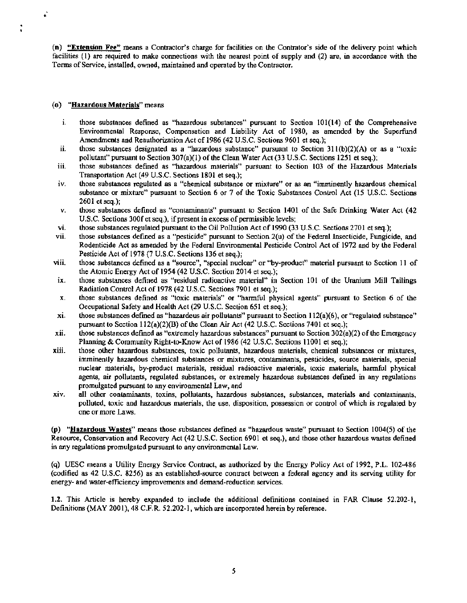(n) "Extension Fee" means a Contractor's charge for facilities on the Contrator's side of the delivery point which facilities  $(1)$  are required to make connections with the nearest point of supply and  $(2)$  are, in accordance with the Terms of Service, installed, owned, maintained and operated by the Contractor.

## (o) "Hazardous Materials" means

*,:* 

- $1.$  those substances defined as "hazardous substances" pursuant to Section 101(14) of the Comprehensive Environmental Response, Compensation and Liability Act of 1980, as amended by the Superfund Amendments and Reauthorization Act of 1986 (42 U.S.C. Sections 9601 et seq.);
- ii. those substances designated as a "hazardous substance" pursuant to Section 31 l(b)(2)(A) or as a "toxic pollutant" pursuant to Section 307(a)(l) of the Clean Water Act (33 U.S.C. Sections 1251 et seq.);
- iii. those substances defined as "hazardous materials" pursuant to Section 103 of the Hazardous Materials Transportation Act (49 U.S.C. Sections 1801 et seq.);
- iv. those substances regulated as a "chemical substance or mixture" or as an "imminently hazardous chemical substance or mixture" pursuant to Section 6 or 7 of the Toxic Substances Control Act (15 U.S.C. Sections 2601 et seq.);
- v. those substances defined as "contaminants" pursuant to Section 1401 of the Safe Drinking Water Act (42 U.S.C. Sections 300f et seq.), if present in excess of permissible levels;
- vi. those substances regulated pursuant to the Oil Pollution Act of 1990 (33 U.S.C. Sections 2701 et seq.);
- vii. those substances defined as a "pesticide" pursuant to Section 2(u) of the Federal Insecticide, Fungicide, and Rodenticide Act as amended by the Federal Environmental Pesticide Control Act of 1972 and by the Federal Pesticide Act of 1978 (7 U.S.C. Sections 136 et seq.);
- viii. those substances defined as a "source''. "special nuclear" or "by-product" material pursuant to Section 11 of the Atomic Energy Act of 1954 (42 U.S.C. Section 2014 et seq.);
- ix. those substances defined as "residual radioactive material" in Section 101 of the Uranium Mill Tailings Radiation Control Act of 1978 (42 U.S.C. Sections 7901 et seq.);
- x. those substances defined as "toxic materials" or "harmful physical agents" pursuant to Section 6 of the Occupational Safety and Health Act (29 U.S.C. Section 651 et seq.);
- $x$ i. those substances defined as "hazardeus air pollutants" pursuant to Section  $112(a)(6)$ , or "regulated substance" pursuant to Section  $112(a)(2)(B)$  of the Clean Air Act (42 U.S.C. Sections 7401 et seq.);
- xii. those substances defined as "extremely hazardous substances" pursuant to Section 302(a)(2) of the Emergency Planning & Community Right-to-Know Act of 1986 (42 U.S.C. Sections 11001 et seq.);
- xiii. those other hazardous substances, toxic pollutants, hazardous materials, chemical substances or mixtures, imminently hazardous chemical substances or mixtures, contaminants, pesticides, source materials, special nuclear materials, by-product materials, residual radioactive materials, toxic materials, harmful physical agents, air pollutants, regulated substances, or extremely hazardous substances defined in any regulations promulgated pursuant to any environmental Law, and
- xiv. all other contaminants, toxins, pollutants, hazardous substances, substances, materials and contaminants, polluted, toxic and hazardous materials, the use, disposition, possession or control of which is regulated by one or more Laws.

(p) "Hazardous Wastes" means those substances defined as "hazardous waste" pursuant to Section 1004(5) of the Resource, Conservation and Recovery Act (42 U.S.C. Section 6901 et seq.), and those other hazardous wastes defined in any regulations promulgated pursuant to any environmental Law.

(q) UESC means a Utility Energy Service Contract, as authorized by the Energy Policy Act of 1992, P.L. 102-486 (codified as 42 U.S.C. 8256) as an established-source contract between a federal agency and its serving utility for energy- and water-efficiency improvements and demand-reduction services.

1.2. This Article is hereby expanded to include the additional definitions contained in FAR Clause 52.202-l, Definitions (MAY 2001), 48 C.F.R. 52.202-1, which are incorporated herein by reference.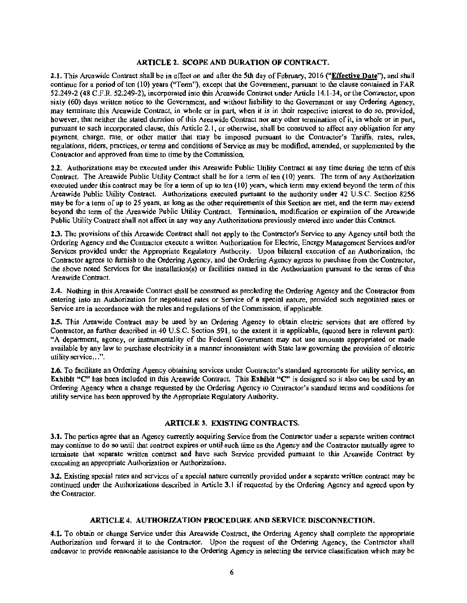## ARTICLE 2. SCOPE AND DURATION OF CONTRACT.

2.1. This Areawide Contract shall be in effect on and after the 5th day of February, 2016 ("Effective Date"), and shall continue for a period of ten (10) years ("Term"), except that the Government, pursuant to the clause contained in FAR 52.249-2 (48 C.F.R. 52.249-2), incorporated into this Areawide Contract under Article 14.1-34, or the Contractor, upon sixty (60) days written notice to the Government, and without liability to the Government or any Ordering Agency, may terminate this Areawide Contract, in whole or in part, when it is in their respective interest to do so, provided, however, that neither the stated duration of this Areawide Contract nor any other termination of it, in whole or in part, pursuant to such incorporated clause, this Article 2.1, or otherwise, shall be construed to affect any obligation for any payment, charge, rate, or other matter that may be imposed pursuant to the Contractor's Tariffs, rates, rules, regulations, riders, practices, or tenns and conditions of Service as may be modified, amended, or supplemented by the Contractor and approved from time to time by the Commission.

2.2. Authorizations may be executed under this Areawide Public Utility Contract at any time during the term of this Contract. The Areawide Public Utility Contract shall be for a tenn of ten (10) years. The tenn of any Authorization executed under this contract may be for a term of up to ten (10) years, which term may extend beyond the term of this Areawide Public Utility Contract. Authorizations executed pursuant to the authority under 42 U.S.C. Section 8256 may be for a term of up to 25 years, as long as the other requirements of this Section are met, and the term may extend beyond the term of the Areawide Public Utility Contract. Termination, modification or expiration of the Areawide Public Utility Contract shall not affect in any way any Authorizations previously entered into under this Contract.

2.3. The provisions of this Areawide Contract shall not apply to the Contractor's Service to any Agency until both the Ordering Agency and the Contractor execute a written Authorization for Electric, Energy Management Services and/or Services provided under the Appropriate Regulatory Authority. Upon bilateral execution of an Authorization, the Contractor agrees to furnish to the Ordering Agency, and the Ordering Agency agrees to purchase from the Contractor, the above noted Services for the installation(s) or facilities named in the Authorization pursuant to the terms of this Areawide Contract.

2.4. Nothing in this Areawide Contract shall be construed as precluding the Ordering Agency and the Contractor from entering into an Authorization for negotiated rates or Service of a special nature, provided such negotiated rates or Service are in accordance with the rules and regulations of the Commission, if applicable.

2.5. This Areawide Contract may be used by an Ordering Agency to obtain electric services that are offered by Contractor, as further described in 40 U.S.C. Section 591, to the extent it is applicable, (quoted here in relevant part): "A department, agency, or instrumentality of the Federal Goverrunent may not use amounts appropriated or made available by any law to purchase electricity in a manner inconsistent with State law governing the provision of electric utility service...".

2.6. To facilitate an Ordering Agency obtaining services under Contractor's standard agreements for utility service, an Exhibit "C" has been included in this Areawide Contract. This Exhibit "C" is designed so it also can be used by an Ordering Agency when a change requested by the Ordering Agency to Contractor's standard terms and conditions for utility service has been approved by the Appropriate Regulatory Authority.

### ARTICLE 3. EXISTING CONTRACTS.

3.J. The parties agree that an Agency currently acquiring Service from the Contractor under a separate written contract may continue to do so until that contract expires or until such time as the Agency and the Contractor mutually agree to terminate that separate written contract and have such Service provided pursuant to this Areawide Contract by executing an appropriate Authorization or Authorizations.

3.2. Existing special rates and services of a special nature currently provided under a separate written contract may be continued under the Authorizations described in Article 3.1 if requested by the Ordering Agency and agreed upon by the Contractor.

## ARTICLE 4. AUTHORIZATION PROCEDURE AND SERVICE DISCONNECTION.

4.1. To obtain or change Service under this Areawide Contract, the Ordering Agency shall complete the appropriate Authorization and forward it to the Contractor. Upon the request of the Ordering Agency, the Contractor shall endeavor to provide reasonable assistance to the Ordering Agency in selecting the service classification which may be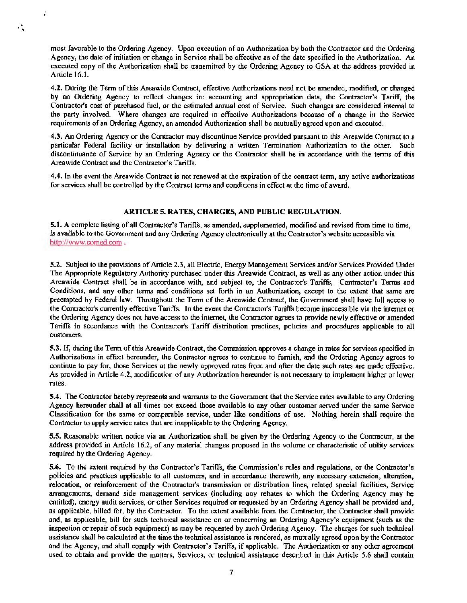most favorable to the Ordering Agency. Upon execution of an Authorization by both the Contractor and the Ordering Agency, the date of initiation or change in Service shall be effective as of the date specified in the Authorization. An executed copy of the Authorization shall be transmitted by the Ordering Agency to GSA at the address provided in Article 16.l.

. •

 $\mathcal{L}_{\infty}$ 

4.2. During the Tenn of this Areawide Contract, effective Authorizations need not be amended, modified, or changed by an Ordering Agency to retlect changes in: accounting and appropriation data, the Contractor's Tariff, the Contractor's cost of purchased fuel, or the estimated annual cost of Service. Such changes are considered internal to the party involved. Where changes are required in effective Authorizations because of a change in the Service requirements ofan Ordering Agency, an amended Authorization shall be mutually agreed upon and executed.

4.3. An Ordering Agency or the Contractor may discontinue Service provided pursuant to this Areawide Contract to a particular Federal facility or installation by delivering a written Tennination Authorization to the other. Such discontinuance of Service by an Ordering Agency or the Contractor shall be in accordance with the tenns of this Areawide Contract and the Contractor's Tariffs.

4.4. In the event the Areawide Contract is not renewed at the expiration of the contract term, any active authorizations for services shall be controlled by the Contract tenns and conditions in effect at the time of award.

## ARTICLE 5. RATES, CHARGES, AND PUBLIC REGULATION.

S.1. A complete listing ofall Contractor's Tariffs, as amended, supplemented, modified and revised from time to time, is available to the Government and any Ordering Agency electronically at the Contractor's website accessible via http://www.comed.com.

5.2. Subject to the provisions of Article 2.3, all Electric, Energy Management Services and/or Services Provided Under The Appropriate Regulatory Authority purchased under this Areawide Contract, as well as any other action under this Areawide Contract shall be in accordance with, and subject to, the Contractor's Tariffs, Contractor's Tenns and Conditions, and any other terms and conditions set forth in an Authorization, except to the extent that same are preempted by Federal law. Throughout the Term of the Areawide Contract, the Government shall have full access to the Contractor's currently effective Tariffs. In the event the Contractor's Tariffs become inaccessible via the internet or the Ordering Agency does not have access to the internet, the Contractor agrees to provide newly effective or amended Tariffs in accordance with the Contractor's Tariff distribution practices, policies and procedures applicable to all customers.

5.3. If, during the Term of this Areawide Contract, the Commission approves a change in rates for services specified in Authorizations in effect hereunder, the Contractor agrees to continue to furnish, and the Ordering Agency agrees to continue to pay for, those Services at the newly approved rates from and after the date such rates are made effective. As provided in Article 4.2, modification of any Authorization hereunder is not necessary to implement higher or lower rates.

S.4. The Contractor hereby represents and warrants to the Government that the Service rates available to any Ordering Agency hereunder shall at all times not exceed those available to any other customer served under the same Service Classification for the same or comparable service, under like conditions of use. Nothing herein shall require the Contractor to apply service rates that are inapplicable to the Ordering Agency.

S.S. Reasonable written notice via an Authorization shall be given by the Ordering Agency to the Contractor, at the address provided in Article 16.2, of any material changes proposed in the volume or characteristic of utility services required by the Ordering Agency.

S.6. To the extent required by the Contractor's Tariffs, the Commission's rules and regulations, or the Contractor's policies and practices applicable to all customers, and in accordance therewith, any necessary extension, alteration, relocation, or reinforcement of the Contractor's transmission or distribution lines, related special facilities, Service arrangements, demand side management services (including any rebates to which the Ordering Agency may be entitled), energy audit services, or other Services required or requested by an Ordering Agency shall be provided and, as applicable, billed for, by the Contractor. To the extent available from the Contractor, the Contractor shall provide and, as applicable, bill for such technical assistance on or concerning an Ordering Agency's equipment (such as the inspection or repair of such equipment) as may be requested by such Ordering Agency. The charges for such technical assistance shall be calculated at the time the teclwical assistance is rendered, as mutually agreed upon by the Contractor and the Agency, and shall comply with Contractor's Tariffs, if applicable. The Authorization or any other agreement used to obtain and provide the matters, Services, or technical assistance described in this Article 5.6 shall contain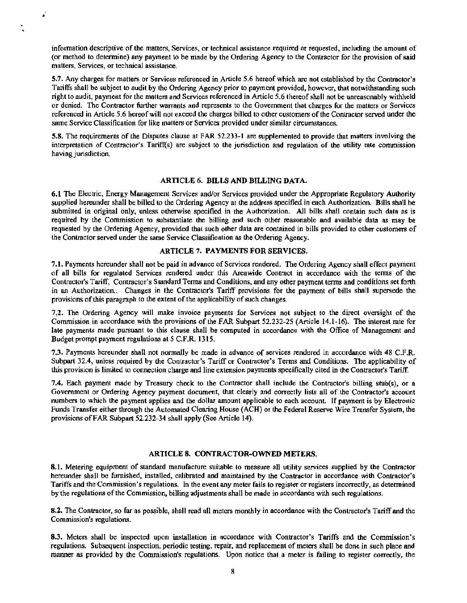information descriptive of the matters, Services, or technical assistance required or requested, including the amount of (or method to determine) any payment to be made by the Ordering Agency to the Contractor for the provision of said matters, Services, or technical assistance.

. .<br>م

 $\ddot{\cdot}$ 

5.7. Any charges for matters or Services referenced in Article 5.6 hereof which are not established by the Contractor's Tariffs shall be subject to audit by the Ordering Agency prior to payment provided, however, that notwithstanding such right to audit, payment for the matters and Services referenced in Article 5.6 thereof shall not be unreasonably withheld or denied. The Contractor further warrants and represents to the Government that charges for the matters or Services referenced in Article 5.6 hereof will not exceed the charges billed to other customers of the Contractor served under the same Service Classification for like matters or Services provided under similar circumstances.

5.8. The requirements of the Disputes clause at FAR 52.233-1 are supplemented to provide that matters involving the interpretation of Contractor's Tariff(s) are subject to the jurisdiction and regulation of the utility rate conunission having jurisdiction.

#### ARTICLE 6. BILLS AND BILLING DATA.

6.1 The Electric, Energy Management Services and/or Services provided under the Appropriate Regulatory Authority supplied hereunder shall be billed to the Ordering Agency at the address specified in each Authorization. Bills shall be submitted in original only, unless otherwise specified in the Authorization. All bills shall contain such data as is required by the Commission to substantiate the billing and such other reasonable and available data as may be requested by the Ordering Agency, provided that such other data are contained in bills provided to other customers of the Contractor served under the same Service Classification as the Ordering Agency.

## ARTICLE 7. PAYMENTS FOR SERVICES.

7.J. Payments hereunder shall not be paid in advance of Services rendered. The Ordering Agency shall effect payment of all bills for regulated Services rendered under this Areawide Contract in accordance with the terms of the Contractor's Tariff, Contractor's Standard Terms and Conditions, and any other payment terms and conditions set forth in an Authorization.. Changes in the Contractor's Tariff provisions for the payment of bills shall supersede the provisions of this paragraph to the extent of the applicability of such changes.

7.2. The Ordering Agency will make invoice payments for Services not subject to the direct oversight of the Commission in accordance with the provisions of the FAR Subpart 52.232-25 (Article 14.1-16). The interest rate for late payments made pursuant to this clause shall be computed in accordance with the Office of Management and Budget prompt payment regulations at *5* C.F.R. 1315.

7.3. Payments hereunder shall not nonnally be made in advance of services rendered in accordance with 48 C.F.R. Subpart 32.4, unless required by the Contractor's Tariff or Contractor's Tenns and Conditions. The applicability of this provision is limited to connection charge and line extension payments specifically cited in the Contractor's Tariff.

7.4. Each payment made by Treasury check to the Contractor shall include the Contractor's billing stub(s), or a Govenunent or Ordering Agency payment document, that clearly and correctly lists all of the Contractor's account numbers to which the payment applies and the dollar amount applicable to each account. If payment is by Electronic Funds Transfer either through the Automated Clearing House (ACH) or the Federal Reserve Wire Transfer System, the provisions of FAR Subpart 52.232-34 shall apply (See Article 14).

## ARTICLE 8. CONTRACTOR-OWNED METERS.

8.1. Metering equipment of standard manufacture suitable to measure all utility services supplied by the Contractor hereunder shall be furnished, installed, calibrated and maintained by the Contractor in accordance with Contractor's Tariffs and the Commission's regulations. In the event any meter fails to register or registers incorrectly, as determined by the regulations ofthe Commission, billing adjustments shall be made in accordance with such regulations.

8.2. The Contractor, so far as possible, shall read all meters monthly in accordance with the Contractor's Tariffand the Commission's regulations.

8.3. Meters shall be inspected upon installation in accordance with Contractor's Tariffs and the Commission's regulations. Subsequent inspection, periodic testing, repair, and replacement of meters shall be done in such place and manner as provided by the Commission's regulations. Upon notice that a meter is failing to register correctly, the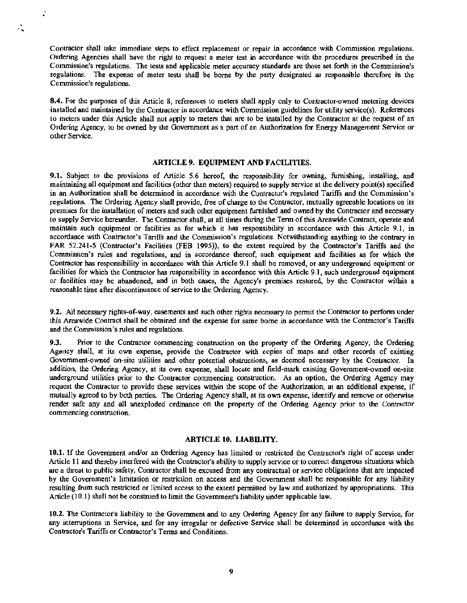Contractor shall take immediate steps to effect replacement or repair in accordance with Commission regulations. Ordering Agencies shall have the right to request a meter test in accordance with the procedures prescribed in the Commission's regulations. The tests and applicable meter accuracy standards are those set forth in the Commission's regulations. The expense of meter tests shall be borne by the party designated as responsible therefore in the Commission's regulations.

. ,.

..

8.4. For the purposes of this Article 8, references to meters shall apply only to Contractor-owned metering devices installed and maintained by the Contractor in accordance with Commission guidelines for utility service(s). References to meters under this Article shall not apply to meters that are to be installed by the Contractor at the request of an Ordering Agency, to be owned by the Government as a part of an Authorization for Energy Management Service or other Service.

## ARTICLE 9. EQUIPMENT AND FACILITIES.

9.1. Subject to the provisions of Article 5.6 hereof, the responsibility for owning, furnishing, installing, and maintaining all equipment and facilities (other than meters) required to supply service at the delivery point(s) specified in an Authorization shall be determined in accordance with the Contractor's regulated Tariffs and the Commission's regulations. The Ordering Agency shall provide, free of charge to the Contractor, mutually agreeable locations on its premises for the installation of meters and such other equipment furnished and owned by the Contractor and necessary to supply Service hereunder. The Contractor shall, at all times during the Tenn of this Areawide Contract, operate and maintain such equipment or facilities as for which it bas responsibility in accordance with this Article 9.1, in accordance with Contractor's Tariffs and the Commission's regulations. Notwithstanding anything to the contrary in FAR 52.241-5 (Contractor's Facilities (FEB 1995)), to the extent required by the Contractor's Tariffs and the Commission's rules and regulations, and in accordance thereof, such equipment and facilities as for which the Contractor has responsibility in accordance with this Article 9.1 shall be removed, or any underground equipment or facilities for which the Contractor has responsibility in accordance with this Article 9.1, such underground equipment or facilities may be abandoned, and in both cases, the Agency's premises restored, by the Contractor within a reasonable time after discontinuance of service to the Ordering Agency.

9.2. All necessary rights-of-way, easements and such other rights necessary to permit the Contractor to perfonn under this Areawide Contract shall be obtained and the expense for same borne in accordance with the Contractor's Tariffs and the Commission's rules and regulations.

9.3. Prior to the Contractor commencing construction on the property of the Ordering Agency, the Ordering Agency shall, at its own expense, provide the Contractor with copies of maps and other records of existing Government-owned on-site utilities and other potential obstructions, as deemed necessary by the Contractor. In addition, the Ordering Agency, at its own expense, shall locate and field-mark existing Government-owned on-site underground utilities prior to the Contractor commencing construction. As an option, the Ordering Agency may request the Contractor to provide these services within the scope of the Authorization, at an additional expense, if mutually agreed to by both parties. The Ordering Agency shall, at its own expense, identify and remove or otherwise render safe any and all unexploded ordinance on the property of the Ordering Agency prior to the Contractor commencing construction.

#### ARTICLE 10. LIABILITY.

10.1. If the Government and/or an Ordering Agency has limited or restricted the Contractor's right of access under Article 11 and thereby interfered with the Contractor's ability to supply service or to correct dangerous situations which are a threat to public safety, Contractor shall be excused from any contractual or service obligations that are impacted by the Government's limitation or restriction on access and the Government shall be responsible for any liability resulting from such restricted or limited access to the extent permitted by law and authorized by appropriations. This Article (10.1) shall not be construed to limit the Government's liability under applicable law.

10.2. The Contractor's liability to the Government and to any Ordering Agency for any failure to supply Service, for any interruptions in Service, and for any irregular or defective Service shall be determined in accordance with the Contractor's Tariffs or Contractor's Terms and Conditions.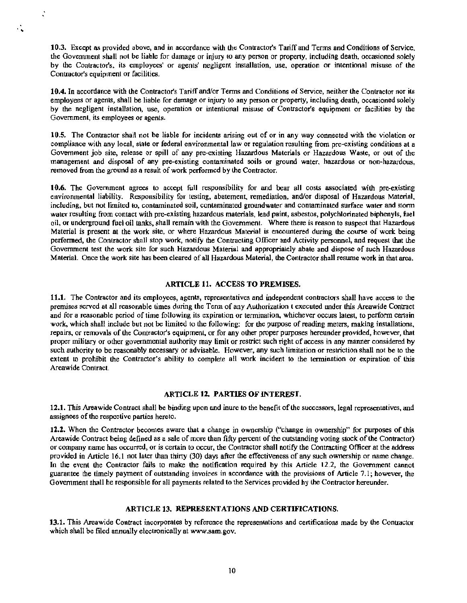10.3. Except as provided above, and in accordance with the Contractor's Tariff and Terms and Conditions of Setvice. the Government shall not be liable for damage or injury to any person or property, including death, occasioned solely by the Contractor's, its employees' or agents' negligent installation, use, operation or intentional misuse of the Contractor's equipment or facilities.

..

 $\ddot{\cdot}$ 

10.4. In accordance with the Contractor's Tariff and/or Terms and Conditions of Service, neither the Contractor nor its employees or agents, shall be liable for damage or injury to any person or property, including death, occasioned solely by the negligent installation, use, operation or intentional misuse of Contractor's equipment or facilities by the Government, its employees or agents.

10.5. The Contractor shall not be liable for incidents arising out of or in any way connected with the violation or compliance with any local, state or federal environmental law or regulation resulting from pre-existing conditions at a Government job site, release or spill of any pre-existing Hazardous Materials or Hazardous Waste, or out of the management and disposal of any pre-existing contaminated soils or ground water, hazardous or non-hazardous, removed from the ground as a result of work performed by the Contractor.

10.6. The Government agrees to accept full responsibility for and bear all costs associated with pre-existing environmental liability. Responsibility for testing, abatement, remediation, and/or disposal of Hazardous Material, including, but not limited to, contaminated soil, contaminated groundwater and contaminated surface water and storm water resulting from contact with pre-existing hazardous materials, lead paint, asbestos, polychlorinated biphenyls, fuel oil, or underground fuel oil tanks, shall remain with the Government. Where there is reason to suspect that Hazardous Material is present at the work site, or where Hazardous Material is encountered during the course of work being performed, the Contractor shall stop work, notify the Contracting Officer and Activity personnel, and request that the Government test the work site for such Hazardous Material and appropriately abate and dispose of such Hazardous Material. Once the work site has been cleared of all Hazardous Material, the Contractor shall resume work in that area.

#### ARTICLE 11. ACCESS TO PREMISES.

11.1. The Contractor and its employees, agents, representatives and independent contractors shall have access to the premises served at all reasonable times during the Term of any Authorization t executed under this Areawide Contract and for a reasonable period of time following its expiration or termination, whichever occurs latest, to perform certain work, which shall include but not be limited to the following: for the purpose of reading meters, making installations, repairs, or removals of the Contractor's equipment, or for any other proper purposes hereunder provided, however, that proper military or other governmental authority may limit or restrict such right of access in any manner considered by such authority to be reasonably necessary or advisable. However, any such limitation or restriction shall not be to the extent to prohibit the Contractor's ability to complete all work incident to the tennination or expiration of this Areawide Contract.

#### ARTICLE 12. PARTIES OF INTEREST.

12.1. This Areawide Contract shall be binding upon and inure to the benefit of the successors, legal representatives, and assignees of the respective parties hereto.

12.2. When the Contractor becomes aware that a change in ownership ("change in ownership" for purposes of this Areawide Contract being defined as a sale of more than fifty percent of the outstanding voting stock of the Contractor) or company name has occurred, or is certain to occur, the Contractor shall notify the Contracting Officer at the address provided in Article 16.1 not later than thirty (30) days after the effectiveness of any such ownership or name change. In the event the Contractor fails to make the notification required by this Article 12.2, the Government cannot guarantee the timely payment of outstanding invoices in accordance with the provisions of Article 7 .1; however, the Government shall be responsible for all payments related to the Services provided by the Contractor hereunder.

#### ARTICLE 13. REPRESENTATIONS AND CERTIFICATIONS.

13.1. This Areawide Contract incorporates by reference the representations and certifications made by the Contractor which shall be filed annually electronically at www.sam.gov.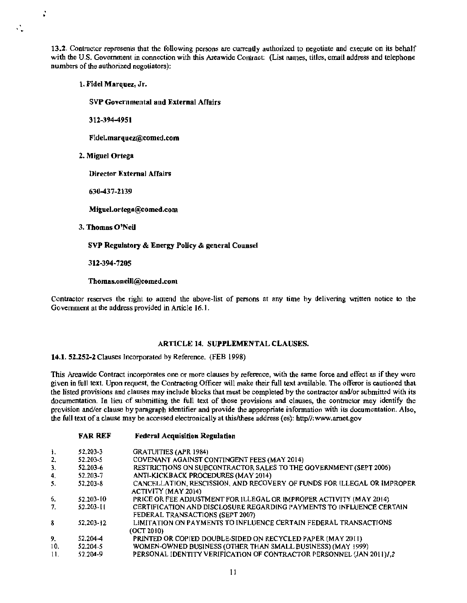13.2. Contractor represents that the following persons are currently authorized to negotiate and execute on its behalf with the U.S. Government in connection with this Areawide Contract: (List names, titles, email address and telephone numbers of the authorized negotiators):

1. Fidel Marquez, Jr.

 $\ddot{\cdot}$ 

Ñ.

SVP Governmental and External Affairs

312-394-4951

Fidel.marquez@comed.com

2. Miguel Ortega

Director External Affairs

630-437-2139

Miguel.ortega@comed.com

3. Thomas O'Neil

SVP Regulatory & Energy Policy & general Counsel

312-394-7205

### Thomas.oneill@comed.com

Contractor reserves the right to amend the above-list of persons at any time by delivering written notice to the Government at the address provided in Article 16. l.

## ARTICLE 14. SUPPLEMENTAL CLAUSES.

**14.1.** 52.252-2 Clauses Incorporated by Reference. (FEB 1998)

This Areawide Contract incorporates one or more clauses by reference, with the same force and effect as if they were given in full text. Upon request, the Contracting Officer will make their full text available. The offeror is cautioned that the listed provisions and clauses may include blocks that must be completed by the contractor and/or submitted with its documentation. In lieu of submitting the full text of those provisions and clauses, the contractor may identify the provision and/or clause by paragraph identifier and provide the appropriate information with its documentation. Also, the full text of a clause may be accessed electronically at this/these address (es): http//:www.arnet.gov

### FAR REF Federal Acquisition Regulation

| -1. | 52.203-3      | <b>GRATUITIES (APR 1984)</b>                                            |
|-----|---------------|-------------------------------------------------------------------------|
| 2.  | 52.203-5      | COVENANT AGAINST CONTINGENT FEES (MAY 2014)                             |
| 3.  | 52.203-6      | RESTRICTIONS ON SUBCONTRACTOR SALES TO THE GOVERNMENT (SEPT 2006)       |
| 4.  | 52.203-7      | ANTI-KICKBACK PROCEDURES (MAY 2014)                                     |
| 5.  | 52.203-8      | CANCELLATION, RESCISSION, AND RECOVERY OF FUNDS FOR ILLEGAL OR IMPROPER |
|     |               | ACTIVITY (MAY 2014)                                                     |
| 6.  | $52.203 - 10$ | PRICE OR FEE ADJUSTMENT FOR ILLEGAL OR IMPROPER ACTIVITY (MAY 2014)     |
| 7.  | 52.203-11     | CERTIFICATION AND DISCLOSURE REGARDING PAYMENTS TO INFLUENCE CERTAIN    |
|     |               | FEDERAL TRANSACTIONS (SEPT 2007)                                        |
| 8   | 52.203-12     | LIMITATION ON PAYMENTS TO INFLUENCE CERTAIN FEDERAL TRANSACTIONS        |
|     |               | (OCT 2010)                                                              |
| 9.  | 52.204-4      | PRINTED OR COPIED DOUBLE-SIDED ON RECYCLED PAPER (MAY 2011)             |
| 10. | 52.204-5      | WOMEN-OWNED BUSINESS (OTHER THAN SMALL BUSINESS) (MAY 1999)             |
| 11. | 52.204-9      | PERSONAL IDENTITY VERIFICATION OF CONTRACTOR PERSONNEL (JAN 2011)/,2    |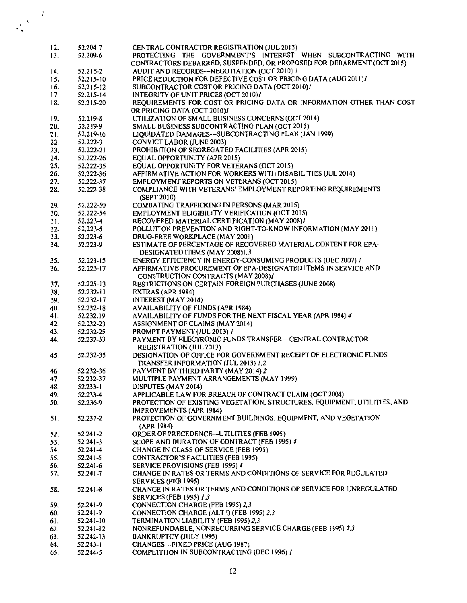| 12. | 52.204-7      | CENTRAL CONTRACTOR REGISTRATION (JUL 2013)                               |
|-----|---------------|--------------------------------------------------------------------------|
| 13. | 52.209-6      | PROTECTING THE GOVERNMENT'S INTEREST WHEN SUBCONTRACTING WITH            |
|     |               | CONTRACTORS DEBARRED, SUSPENDED, OR PROPOSED FOR DEBARMENT (OCT 2015)    |
| 14. | 52.215-2      | AUDIT AND RECORDS--NEGOTIATION (OCT 2010) /                              |
| 15. | 52.215-10     | PRICE REDUCTION FOR DEFECTIVE COST OR PRICING DATA (AUG 2011) /          |
| 16. | $52.215 - 12$ | SUBCONTRACTOR COST OR PRICING DATA (OCT 2010)/                           |
| 17  | 52.215-14     | INTEGRITY OF UNIT PRICES (OCT 2010)/                                     |
| 18. | 52.215-20     | REQUIREMENTS FOR COST OR PRICING DATA OR INFORMATION OTHER THAN COST     |
|     |               | OR PRICING DATA (OCT 2010)/                                              |
| 19. | 52,219-8      | UTILIZATION OF SMALL BUSINESS CONCERNS (OCT 2014)                        |
| 20. | 52.219-9      | SMALL BUSINESS SUBCONTRACTING PLAN (OCT 2015)                            |
| 21. | 52.219-16     | LIQUIDATED DAMAGES--SUBCONTRACTING PLAN (JAN 1999)                       |
|     | 52.222-3      | <b>CONVICT LABOR (JUNE 2003)</b>                                         |
| 22. |               | PROHIBITION OF SEGREGATED FACILITIES (APR 2015)                          |
| 23. | 52.222-21     | EQUAL OPPORTUNITY (APR 2015)                                             |
| 24. | 52.222-26     | EQUAL OPPORTUNITY FOR VETERANS (OCT 2015)                                |
| 25. | 52.222-35     | AFFIRMATIVE ACTION FOR WORKERS WITH DISABILITIES (JUL 2014)              |
| 26. | 52.222-36     |                                                                          |
| 27. | 52.222-37     | EMPLOYMENT REPORTS ON VETERANS (OCT 2015)                                |
| 28. | 52,222-38     | COMPLIANCE WITH VETERANS' EMPLOYMENT REPORTING REQUIREMENTS              |
|     |               | (SEPT 2010)                                                              |
| 29. | 52.222-50     | COMBATING TRAFFICKING IN PERSONS (MAR 2015)                              |
| 30. | 52.222-54     | <b>EMPLOYMENT ELIGIBILITY VERIFICATION (OCT 2015)</b>                    |
| 31. | $52.223 - 4$  | RECOVERED MATERIAL CERTIFICATION (MAY 2008)/                             |
| 32. | 52,223-5      | POLLUTION PREVENTION AND RIGHT-TO-KNOW INFORMATION (MAY 2011)            |
| 33. | 52.223-6      | DRUG-FREE WORKPLACE (MAY 2001)                                           |
| 34. | 52.223-9      | ESTIMATE OF PERCENTAGE OF RECOVERED MATERIAL CONTENT FOR EPA-            |
|     |               | DESIGNATED ITEMS (MAY 2008)1,3                                           |
| 35. | 52.223-15     | ENERGY EFFICIENCY IN ENERGY-CONSUMING PRODUCTS (DEC 2007) I              |
| 36. | 52.223-17     | AFFIRMATIVE PROCUREMENT OF EPA-DESIGNATED ITEMS IN SERVICE AND           |
|     |               | CONSTRUCTION CONTRACTS (MAY 2008)/                                       |
| 37. | 52.225-13     | RESTRICTIONS ON CERTAIN FOREIGN PURCHASES (JUNE 2008)                    |
| 38. | 52.232-11     | EXTRAS (APR 1984)                                                        |
| 39. | 52.232-17     | INTEREST (MAY 2014)                                                      |
| 40. | 52,232-18     | AVAILABILITY OF FUNDS (APR 1984)                                         |
| 41. | 52.232.19     | AVAILABILITY OF FUNDS FOR THE NEXT FISCAL YEAR (APR 1984) 4              |
| 42. | 52.232-23     | ASSIGNMENT OF CLAIMS (MAY 2014)                                          |
| 43. | 52.232-25     | <b>PROMPT PAYMENT (JUL 2013) /</b>                                       |
| 44. | 52,232-33     | PAYMENT BY ELECTRONIC FUNDS TRANSFER-CENTRAL CONTRACTOR                  |
|     |               | <b>REGISTRATION (JUL 2013)</b>                                           |
| 45. | 52.232-35     | DESIGNATION OF OFFICE FOR GOVERNMENT RECEIPT OF ELECTRONIC FUNDS         |
|     |               | TRANSFER INFORMATION (JUL 2013) /.2                                      |
| 46. | 52.232-36     | PAYMENT BY THIRD PARTY (MAY 2014) 2                                      |
| 47. | 52.232-37     | MULTIPLE PAYMENT ARRANGEMENTS (MAY 1999)                                 |
| 48. | 52.233-1      | DISPUTES (MAY 2014)                                                      |
| 49. | 52,233-4      | APPLICABLE LAW FOR BREACH OF CONTRACT CLAIM (OCT 2004)                   |
| 50. | 52.236-9      | PROTECTION OF EXISTING VEGETATION, STRUCTURES, EQUIPMENT, UTILITIES, AND |
|     |               | IMPROVEMENTS (APR 1984)                                                  |
|     | 52.237-2      | PROTECTION OF GOVERNMENT BUILDINGS, EQUIPMENT, AND VEGETATION            |
| 51. |               |                                                                          |
|     |               | (APR 1984)                                                               |
| 52. | 52.241-2      | ORDER OF PRECEDENCE-UTILITIES (FEB 1995)                                 |
| 53. | 52.241-3      | SCOPE AND DURATION OF CONTRACT (FEB 1995) 4                              |
| 54. | 52.241-4      | CHANGE IN CLASS OF SERVICE (FEB 1995)                                    |
| 55. | 52.241-5      | <b>CONTRACTOR'S FACILITIES (FEB 1995)</b>                                |
| 56. | $52.241 - 6$  | SERVICE PROVISIONS (FEB 1995) 4                                          |
| 57. | $52.24[-7]$   | CHANGE IN RATES OR TERMS AND CONDITIONS OF SERVICE FOR REGULATED         |
|     |               | SERVICES (FEB 1995)                                                      |
| 58. | 52.241-8      | CHANGE IN RATES OR TERMS AND CONDITIONS OF SERVICE FOR UNREGULATED       |
|     |               | <b>SERVICES (FEB 1995) 1.3</b>                                           |
| 59. | 52.241-9      | CONNECTION CHARGE (FEB 1995) 2,3                                         |
| 60. | 52.241-9      | CONNECTION CHARGE (ALT I) (FEB 1995) 2,3                                 |
| 61. | 52.241-10     | TERMINATION LIABILITY (FEB 1995) 2,3                                     |
| 62. | $52,241 - 12$ | NONREFUNDABLE, NONRECURRING SERVICE CHARGE (FEB 1995) 2,3                |
| 63. | 52.242-13     | <b>BANKRUPTCY (JULY 1995)</b>                                            |
| 64. | $52,243-1$    | CHANGES-FIXED PRICE (AUG 1987)                                           |
| 65. | 52.244-5      | COMPETITION IN SUBCONTRACTING (DEC 1996) /                               |

 $\frac{1}{\sqrt{2}}\sum_{i=1}^{N}\frac{1}{i} \sum_{j=1}^{N} \frac{1}{j} \sum_{j=1}^{N} \frac{1}{j} \sum_{j=1}^{N} \frac{1}{j} \sum_{j=1}^{N} \frac{1}{j} \sum_{j=1}^{N} \frac{1}{j} \sum_{j=1}^{N} \frac{1}{j} \sum_{j=1}^{N} \frac{1}{j} \sum_{j=1}^{N} \frac{1}{j} \sum_{j=1}^{N} \frac{1}{j} \sum_{j=1}^{N} \frac{1}{j} \sum_{j=1}^{N} \frac{1}{j} \sum_{j=1}$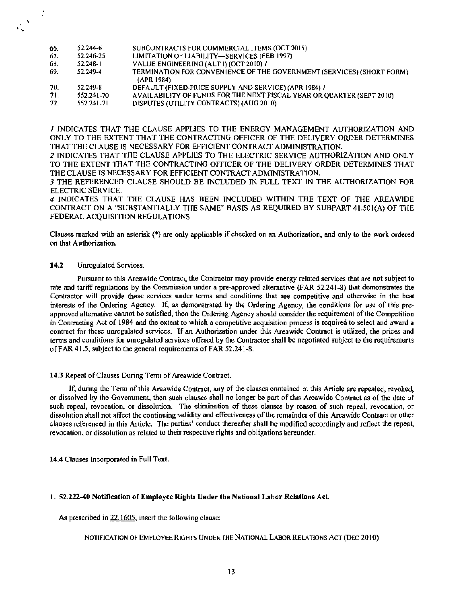| SUBCONTRACTS FOR COMMERCIAL ITEMS (OCT 2015)<br>52.244-6<br>66.                            |  |
|--------------------------------------------------------------------------------------------|--|
| LIMITATION OF LIABILITY-SERVICES (FEB 1997)<br>67.<br>52.246-25                            |  |
| VALUE ENGINEERING (ALTI) (OCT 2010) /<br>68.<br>$52.248 - 1$                               |  |
| TERMINATION FOR CONVENIENCE OF THE GOVERNMENT (SERVICES) (SHORT FORM)<br>69.<br>52.249-4   |  |
| (APR 1984)                                                                                 |  |
| DEFAULT (FIXED-PRICE SUPPLY AND SERVICE) (APR 1984) /<br>52.249-8<br>70.                   |  |
| AVAILABILITY OF FUNDS FOR THE NEXT FISCAL YEAR OR QUARTER (SEPT 2010)<br>71.<br>552.241-70 |  |
| DISPUTES (UTILITY CONTRACTS) (AUG 2010)<br>72.<br>552.241-71                               |  |

I INDICATES THAT THE CLAUSE APPUES TO THE ENERGY MANAGEMENT AUTHORIZATION AND ONLY TO THE EXTENT THAT THE CONTRACTING OFFICER OF THE DELIVERY ORDER DETERMINES THAT THE CLAUSE IS NECESSARY FOR EFFICIENT CONTRACT ADMINISTRATION.

*2* lNDICATES THAT THE CLAUSE APPLIES TO THE ELECTRIC SERVICE AUTHORIZATION AND ONLY TO THE EXTENT THAT THE CONTRACTING OFFICER OF THE DELIVERY ORDER DETERMINES THAT THE CLAUSE IS NECESSARY FOR EFFICIENT CONTRACT ADMlNTSTRATION.

*3* THE REFERENCED CLAUSE SHOULD BE INCLUDED JN FULL TEXT TN THE AUTHORIZATION FOR ELECTRJC SERVICE.

4 INDICATES THAT THE CLAUSE HAS BEEN INCLUDED WITHIN THE TEXT OF THE AREA WIDE CONTRACT ON A ''SUBSTANTIALLY THE SAME" BASIS AS REQUIRED BY SUBPART 41.SOl(A) OF THE FEDERAL ACQUJSITION REGULATIONS

Clauses marked with an asterisk (•) are only applicable if checked on an Authorization, and only to the work ordered on that Authorization.

#### 14.2 Unregulated Services.

...

 $\mathcal{L}$ 

Pursuant to this Areawide Contract, the Contractor may provide energy related services that are not subject to rate and tariff regulations by the Commission under a pre-approved alternative (FAR 52.241-8) that demonstrates the Contractor will provide these services under terms and conditions that are competitive and otherwise in the best interests of the Ordering Agency. ff, as demonstrated by the Ordering Agency, the conditions for use of this preapproved alternative cannot be satisfied, then the Ordering Agency should consider the requirement ofthe Competition in Contracting Act of 1984 and the extent to which a competitive acquisition process is required to select and award a contract for these unregulated services. 1f an Authorization under this Areawide Contract is utilized, the prices and terms and conditions for unregulated services offered by the Contractor shall be negotiated subject to the requirements of FAR 41.5, subject to the general requirements of FAR 52.241-8.

### 14.3 Repeal of Clauses During Term of Areawide Contract.

If, during the Term of this Areawide Contract, any of the clauses contained in this Article are repealed, revoked, or dissolved by the Government, then such clauses shall no longer be part of this Areawide Contract as of the date of such repeal, revocation, or dissolution. The elimination of these clauses by reason of such repeal, revocation, or dissolution shall not affect the continuing validity and effectiveness of the remainder of this Areawide Contract or other clauses referenced in this Article. The parties' conduct thereafter shall be modified accordingly and reflect the repeal, revocation, or dissolution as related to their respective rights and obligations hereunder.

14.4 Clauses Incorporated in Full Text.

### 1. 52.222-40 Notification ofEmployee Rights Uoder the National Labor Relations Act.

As prescribed in 22.1605, insert the following clause:

NOTIFICATION OF EMPLOYEE RIGHTS UNDER THE NATIONAL LABOR RELATIONS ACT (DEC 2010)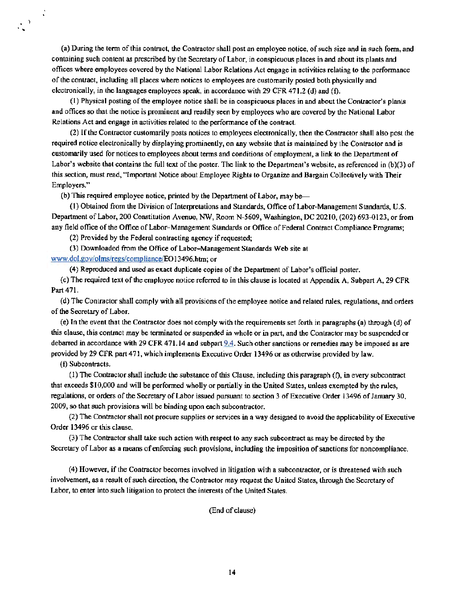(a) During the term of this contract, the Contractor shall post an employee notice, ofsuch size and in such form, and containing such content as prescribed by the Secretary of Labor, in conspicuous places in and about its plants and offices where employees covered by the National Labor Relations Act engage in activities relating to the perfonnance of the contract, including all places where notices to employees are customarily posted both physically and electronically, in the languages employees speak, in accordance with 29 CFR 471.2 (d) and (f).

(1) Physical posting ofthe employee notice shall be in conspicuous places in and about the Contractor's plants and offices so that the notice is prominent and readily seen by employees who are covered by the National Labor Relations Act and engage in activities related to the performance of the contract.

(2) Ifthe Contractor customarily posts notices to employees electronically, then the Contractor shall also post the required notice electronically by displaying prominently, on any website that is maintained by the Contractor and is customarily used for notices to employees about tenns and conditions of employment, a link to the Department of Labor's website that contains the full text of the poster. The link to the Department's website, as referenced in (b)(3) of this section, must read, "Important Notice about Employee Rights to Organize and Bargain Collectively with Their Employers."

(b) This required employee notice, printed by the Department of Labor, may be—

(I) Obtained from the Division ofInterpretations and Standards, Office ofLabor-Management Standards, U.S. Department of Labor, 200 Constitution Avenue, NW, Room N-5609, Washington, DC 20210, (202) 693-0123, or from any field office of the Office of Labor-Management Standards or Office of Federal Contract Compliance Programs;

(2) Provided by the Federal contracting agency ifrequested;

(3) Downloaded from the Office ofLabor- Management Standards Web site at

www.dol.gov/olms/regs/compliance/EO13496.htm; or

(4) Reproduced and used as exact duplicate copies of the Department ofLabor's official poster.

(c) The required text of the employee notice referred to in this clause is located at Appendix A, Subpart A, 29 CFR Part 471.

(d) The Contractor shall comply with all provisions of the employee notice and related rules, regulations, and orders of the Secretary of Labor.

(e) In the event that the Contractor does not comply with the requirements set forth in paragraphs (a) through (d) of this clause, this contract may be tenninated or suspended in whole or in part, and the Contractor may be suspended or debarred in accordance with 29 CFR 471.14 and subpart  $9.4$ . Such other sanctions or remedies may be imposed as are provided by 29 CFR part 471, which implements Executive Order 13496 or as otherwise provided by law.

(f) Subcontracts.

. )

Î,

 $(1)$  The Contractor shall include the substance of this Clause, including this paragraph  $(f)$ , in every subcontract that exceeds \$I0,000 and will be performed wholly or partially in the United States, unless exempted by the rules, regulations, or orders of the Secretary of Labor issued pursuant to section 3 of Executive Order 13496 of January 30, 2009, so that such provisions will be binding upon each subcontractor.

(2) The Contractor shall not procure supplies or services in a way designed to avoid the applicability of Executive Order 13496 or this clause.

(3) The Contractor shall take such action with respect to any such subcontract as may be directed by the Secretary of Labor as a means of enforcing such provisions, including the imposition of sanctions for noncompliance.

(4) However, if the Contractor becomes involved in litigation with a subcontractor, or is threatened with such involvement, as a result ofsuch direction, the Contractor may request the United States, through the Secretary of Labor, to enter into such litigation to protect the interests of the United States.

(End of clause)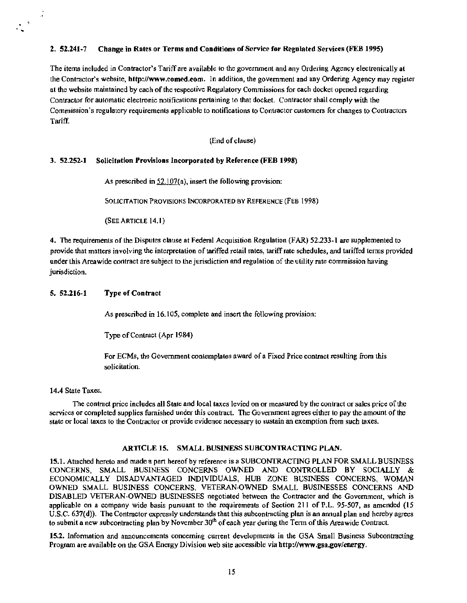## 2. 51.241-7 Change in Rates or Terms and Conditions of Service for Regulated Services (FEB 1995)

The items included in Contractor's Tariff are available to the government and any Ordering Agency electronically at the Contractor's website, http://www.comed.com. ln addition, the government and any Ordering Agency may register at the website maintained by each of the respective Regulatory Commissions for each docket opened regarding Contractor for automatic electronic notifications pertaining to that docket. Contractor shall comply with the Commission's regulatory requirements applicable to notifications to Contractor customers for changes to Contractors Tariff.

(End of clause)

### 3. 52.252-1 Solicitation Provisions Incorporated by Reference (FEB 1998)

As prescribed in  $52.107(a)$ , insert the following provision:

SOLICITATION PROVISIONS INCORPORATED BY REFERENCE (FEB 1998)

(SEE ARTICLE 14. I)

4. The requirements of the Disputes clause at Federal Acquisition Regulation (FAR) 52.233-1 are supplemented to provide that matters involving the interpretation oftariffed retail rates, tariffrate schedules, and tariffed terms provided under this Areawide contract are subject to the jurisdiction and regulation ofthe utility rate commission having jurisdiction.

## 5. 52.216-1 Type of Contract

As prescribed in 16.105, complete and insert the following provision:

Type of Contract (Apr 1984)

For ECMs, the Government contemplates award of a Fixed Price contract resulting from this solicitation.

#### 14.4 State Taxes.

..

 $\ddot{\cdot}$ 

The contract price includes all State and local taxes levied on or measured by the contract or sales price of the services or completed supplies furnished under this contract. The Government agrees either to pay the amount of the state or local taxes to the Contractor or provide evidence necessary to sustain an exemption from such taxes.

#### ARTICLE 15. SMALL BUSINESS SUBCONTRACTING PLAN.

15.1. Attached hereto and made a part hereof by reference is a SUBCONTRACTING PLAN FOR SMALL BUSINESS CONCERNS, SMALL BUSINESS CONCERNS OWNED AND CONTROLLED BY SOCIALLY & ECONOMICALLY DlSADVANTAGED INDIVIDUALS, HUB ZONE BUSINESS CONCERNS, WOMAN OWNED SMALL BUSINESS CONCERNS, VETERAN-OWNED SMALL BUSINESSES CONCERNS AND DISABLED VETERAN-OWNED BUSINESSES negotiated between the Contractor and the Government, which is applicable on a company wide basis pursuant to the requirements of Section 211 of P.L. 95~507, as amended *(15*  U.S.C. 637(d)). The Contractor expressly understands that this subcontracting plan is an annual plan and hereby agrees to submit a new subcontracting plan by November  $30<sup>th</sup>$  of each year during the Term of this Areawide Contract.

15.2. lnfonnation and announcements concerning current developments in the GSA Small Business Subcontracting Program are available on the GSA Energy Division web site accessible via http://www.gsa.gov/energy.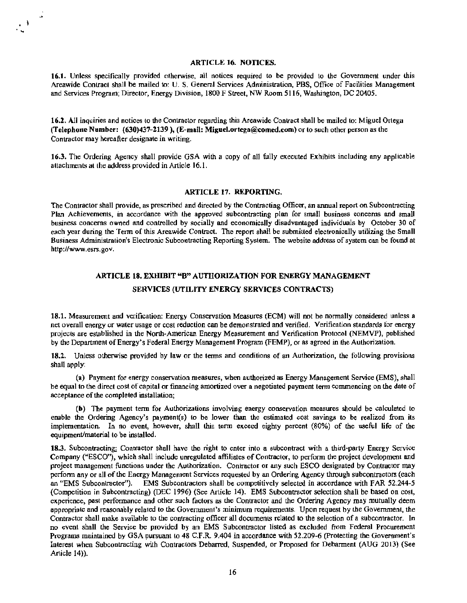## ARTICLE 16. NOTICES.

 $\cdot$  .

16.J. Unless specifically provided otherwise, all notices required to be provided to the Govenunent under lhis Areawide Contract shall be mailed to: U. S. General Services Administration, PBS, Office of Facilities Management and Services Program; Director, Energy Division, 1800 F Street, NW Room 51 16, Washington, DC 20405.

16.2. All inquiries and notices to the Contractor regarding this Areawide Contract shall be mailed to: Miguel Ortega (Telephone Number: (630)437-2139 ), (E-mail: Miguel.ortega@comed.com) or to such other person as the Contractor may hereafter designate in writing.

16.3. The Ordering Agency shall provide GSA wilh a copy of all fully executed Exhibits including any applicable attachments at the address provided in Article 16.1.

### ARTICLE 17. REPORTING.

The Contractor shall provide, as prescribed and directed by the Contracting Officer, an annual report on Subcontracting Plan Achievements, in accordance with the approved subcontracting plan for small business concerns and small business concerns owned and controlled by socially and economically disadvantaged individuals by October 30 of each year during the Term of this Areawide Contract. The report shall be submitted electronically utilizing the Small Business Administration's Electronic Subcontracting Reporting System. The website address of system can be found at http://www.esrs.gov.

## ARTICLE 18. EXHIBIT "B" AUTHORIZA TJON FOR ENERGY MANAGEMENT SERVICES (UTILITY ENERGY SERVICES CONTRACTS)

18.1. Measurement and verification: Energy Conservation Measures (ECM) will not be nonnally considered unless a net overall energy or water usage or cost reduction can be demonstrated and verified. Verification standards for energy projects are established in the North-American Energy Measurement and Verification Protocol (NEMVP), published by the Department ofEnergy's Federal Energy Management Program (FEMP), or as agreed in the Authorization.

18.2. Unless otherwise provided by law or the terms and conditions of an Authorization, the following provisions shall apply:

(a) Payment for energy conservation measures, when authorized as Energy Management Service (EMS), shall be equal to the direct cost of capital or financing amortized over a negotiated payment tenn commencing on the date of acceptance of the completed installation;

(b) The payment term for Authorizations involving energy conservation measures should be calculated to enable the Ordering Agency's payment(s) to be lower than the estimated cost savings to be realized from its implementation. In no event, however, shall this term exceed eighty percent (80%) of the useful life of the equipment/material to be installed.

18.3. Subcontracting: Contractor shall have the right to enter into a subcontract with a third-party Energy Service Company ("ESCO"), which shall include unregulated affiliates of Contractor, to perform the project development and project management functions under the Authorization. Contractor or any such ESCO designated by Contractor may perform any or all of the Energy Management Services requested by an Ordering Agency through subcontractors (each an "EMS Subcontractor"). EMS Subcontractors shall be competitively selected in accordance with FAR 52.244-5 (Competition in Subcontracting) (DEC 1996) (See Article 14). EMS Subcontractor selection shall be based on cost, experience, past perfonnance and other such factors as the Contractor and the Ordering Agency may mutually deem appropriate and reasonably related to the Government's minimum requirements. Upon request by the Government, the Contractor shall make available to the contracting officer all documents related to the selection of a subcontractor. In no event shall the Service be provided by an EMS Subcontractor listed as excluded from Federal Procurement Programs maintained by GSA pursuant to 48 C.F.R. 9.404 in accordance with 52.209-6 (Protecting the Government's Interest when Subcontracting with Contractors Debarred, Suspended, or Proposed for Debannent (AUG 2013) (See Article 14)).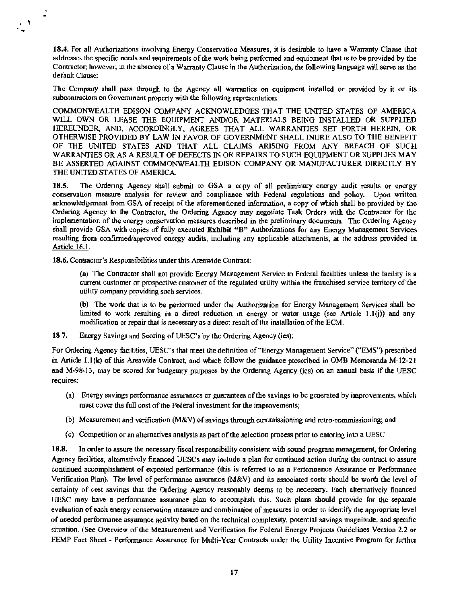18.4. For all Authorizations involving Energy Conservation Measures, it is desirable to have a Warranty Clause that addresses the specific needs and requirements of the work being performed and equipment that is to be provided by the Contractor; however, in the absence of a Warranty Clause in the Authorization, the following language will serve as the default Clause:

The Company shall pass lhrough to the Agency all warranties on equipment installed or provided by it or its subcontractors on Government property with the following representation:

COMMONWEALTH EDISON COMPANY ACKNOWLEDGES THAT THE UNITED STATES OF AMERICA WILL OWN OR LEASE THE EQUIPMENT AND/OR MATERIALS BEING INSTALLED OR SUPPLIED HEREUNDER, AND, ACCORDINGLY, AGREES THAT ALL WARRANTIES SET FORTH HEREIN, OR OTHERWISE PROVIDED BY LAW JN FAVOR OF GOVERNMENT SHALL INURE ALSO TO THE BENEFIT OF THE UNITED STATES AND THAT ALL CLAIMS ARISING FROM ANY BREACH OF SUCH WARRANTIES OR AS A RESULT OF DEFECTS IN OR REPAIRS TO SUCH EQUIPMENT OR SUPPLIES MAY BE ASSERTED AGAINST COMMONWEALTH EDISON COMPANY OR MANUFACTURER DIRECTLY BY THE UNITED STATES OF AMERICA.

18.5. The Ordering Agency shall submit to GSA a copy of all preliminary energy audit results or energy conservation measure analysis for review and compliance with Federal regulations and policy. Upon written acknowledgement from GSA of receipt of the aforementioned information, a copy of which shall be provided by the Ordering Agency to the Contractor, the Ordering Agency may negotiate Task Orders with the Contractor for the implementation of the energy conservation measures described in the preliminary docwnents. The Ordering Agency shall provide GSA with copies of fully executed Exhibit "B" Authorizations for any Energy Management Services resulting from confirmed/approved energy audits, including any applicable attachments, at the address provided in Article 16.1.

18.6. Contractor's Responsibilities under this Areawide Contract:

. .

 $\overline{a}$ 

(a) The Contractor shall not provide Energy Management Service to Federal facilities unless the facility is a current customer or prospective customer of the regulated utility within the franchised service territory of the utility company providing such services.

(b) The work that is to be perfonned under the Authorization for Energy Management Services shall be limited to work resulting in a direct reduction in energy or water usage (see Article 1.l(j)) and any modification or repair that is necessary as a direct result of the installation of the ECM.

18.7. Energy Savings and Scoring of UESC's by the Ordering Agency (ies):

For Ordering Agency facilities, UESC's that meet the definition of"Energy Management Service" ("EMS") prescribed in Article l.l(k) of this Areawide Contract, and which follow the guidance prescribed in OMB Memoranda M-12-21 and M-98-13, may be scored for budgetary purposes by the Ordering Agency (ies) on an annual basis if the UESC requires:

- (a) Energy savings perfonnance assurances or guarantees ofthe savings to be generated by improvements, which must cover the full cost of the Federal investment for the improvements;
- (b) Measurement and verification (M&V) of savings through commissioning and retro-commissioning; and
- (c) Competition or an alternatives analysis as part of the selection process prior to entering into a UESC

18.8. In order to assure the necessary fiscal responsibility consistent with sound program management, for Ordering Agency facilities, alternatively financed UESCs may include a plan for continued action during the contract to assure continued accomplishment of expected performance (this is referred to as a Performance Assurance or Performance Verification Plan). The level of performance assurance (M&V) and its associated costs should be worth the level of certainty of cost savings that the Ordering Agency reasonably deems to be necessary. Each alternatively financed UESC may have a perfonnance assurance plan to accomplish this. Such plans should provide for the separate evaluation of each energy conservation measure and combination of measures in order to identify the appropriate level of needed performance asswance activity based on the technical complexity, potential savings magnitude, and specific situation. (See Overview of the Measurement and Verification for Federal Energy Projects Guidelines Version 2.2 or FEMP Fact Sheet - Perfonnance Assurance for Multi· Year Contracts under the Utility Incentive Program for further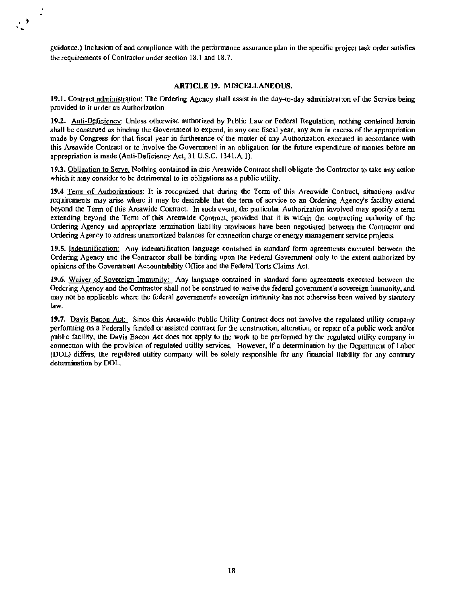guidance.) Inclusion of and compliance with the performance assurance plan in the specific project task order satisfies the requirements of Contractor under section 18.1 and 18.7.

... '

#### ARTICLE 19. MISCELLANEOUS.

19.1. Contract administration: The Ordering Agency shall assist in the day-to-day administration of the Service being provided to it under an Authorization.

19.2. Anti-Deficiency: Unless otherwise authorized by Public Law or Federal Regulation, nothing contained herein shall be construed as binding the Government to expend, in any one fiscal year, any sum in excess of the appropriation made by Congress for that fiscal year in furtherance of the matter of any Authorization executed in accordance with this Areawide Contract or to involve the Government in an obligation for the future expenditure of monies before an appropriation is made (Anti-Deficiency Act, 31 U.S.C. 1341.A. I).

19.3. Obligation to Serve: Nothing contained in this Areawide Contract shall obligate the Contractor to take any action which it may consider to be detrimental to its obligations as a public utility.

19.4 Tenn of Authorizations: It is recognized that during the Term of this Areawide Contract, situations and/or requirements may arise where it may be desirable that the tenn of service to an Ordering Agency's facility extend beyond the Term of this Areawide Contract. In such event, the particular Authorization involved may specify a term extending beyond the Tenn of this Areawide Contract, provided that it is within the contracting authority of the Ordering Agency and appropriate termination liability provisions have been negotiated between the Contractor and Ordering Agency to address unamortized balances for connection charge or energy management service projects.

19.5. Indemnification: Any indemnification language contained in standard form agreements executed between the Ordering Agency and the Contractor shall be binding upon the Federal Government only to the extent authorized by opinions ofthe Government Accountability Office and the Federal Torts Claims Act.

19.6. Waiver of Sovereign Immunity: Any language contained in standard form agreements executed between the Ordering Agency and the Contractor shall not be construed to waive the federal government's sovereign immunity, and may not be applicable where the federal government's sovereign immunity has not otherwise been waived by statutory law.

19.7. Davis Bacon Act: Since this Areawide Public Utility Contract does not involve the regulated utility company perfonning on a Federally funded or assisted contract for the construction, alteration, or repair of a public work and/or public facility, the Davis Bacon Act does not apply to the work to be performed by the regulated utility company in connection with the provision of regulated utility services. However, if a determination by the Department of Labor (DOL) differs, the regulated utility company will be solely responsible for any financial liability for any contrary determination by DOL.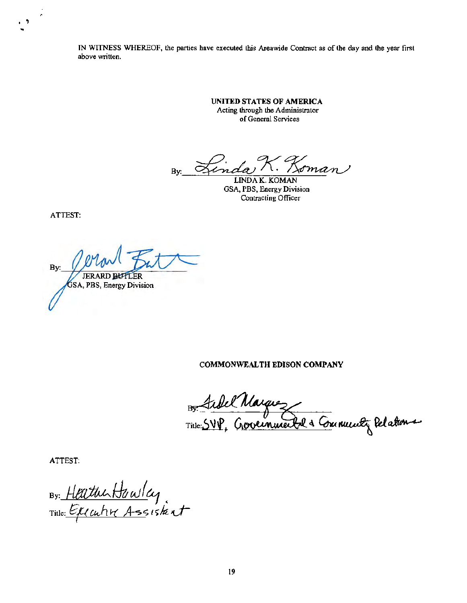IN WITNESS WHEREOF, the parties have executed this Areawide Contract as of the day and the year first above written.

> **UNITED STATES OF AMERICA**  Acting through the Administrator of General Services

1. Loman  $\alpha$ indar By:

LINDA K. KOMAN GSA, PBS, Energy Division Contracting Officer

ATTEST:

 $\cdot$  '

 $Bv:$ **JERARD BUTLER** GSA, PBS, Energy Division

**COMMONWEALTH EDISON COMPANY** 

Bon Sibel Marguez<br>Title: SVP, Grovernmerke & Community Relations

ATTEST:

By: Heather Hawley nthe: *Gillahr Assistant*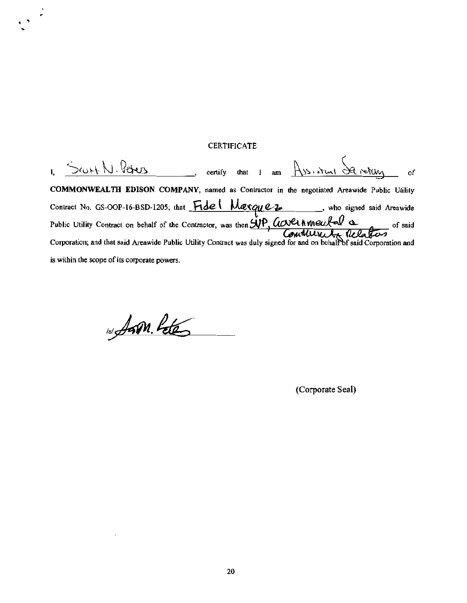## **CERTIFICATE**

 $I, 5$ cont N. Peters, certify that 1 am  $As$  start de vertify of COMMONWEALTH EDISON COMPANY, named as Contractor in the negotiated Areawide Public Utility Contract No. GS-OOP-16-BSD-1205; that  $\overline{H}$ de | Mexque z, who signed said Areawide Public Utility Contract on behalf of the Contractor, was then  $\frac{\mathcal{N}P}{\mathcal{N}}$  Contract  $\mathcal{N}$  is  $\mathcal{N}$  of said Corporation; and that said Areawide Public Utility Contract was duly signed for and on behalf of said Corporation and is within the scope of its corporate powers.

101 Aan Peter

.,  $\mathcal{L}$ 

(Corporate Seal)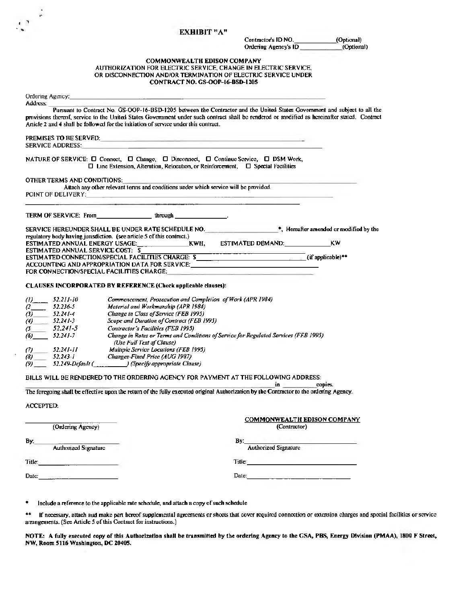#### **ЕХНІВІТ "А"**

 $\mathbf{r}^{\star}$ 

 $\frac{1}{2}$ 

Contractor's ID NO. (Optional) Ordering Agency's ID (Optional)

#### **COMMONWEALTH EDISON COMPANY** AUTHORIZATION FOR ELECTRIC SERVICE, CHANGE IN ELECTRIC SERVICE, OR DISCONNECTION AND/OR TERMINATION OF ELECTRIC SERVICE UNDER CONTRACT NO. GS-OOP-16-BSD-1205

| Ordering Agency:<br>Address:                                                                                                                                                                                                                                                                                                                                        |                                                 |                                           |                                                                                                                                                                                                                                |                                    |  |
|---------------------------------------------------------------------------------------------------------------------------------------------------------------------------------------------------------------------------------------------------------------------------------------------------------------------------------------------------------------------|-------------------------------------------------|-------------------------------------------|--------------------------------------------------------------------------------------------------------------------------------------------------------------------------------------------------------------------------------|------------------------------------|--|
| Pursuant to Contract No. GS-OOP-16-BSD-1205 between the Contractor and the United States Government and subject to all the<br>provisions thereof, service to the United States Government under such contract shall be rendered or modified as hereinafter stated. Contract<br>Article 2 and 4 shall be followed for the initiation of service under this contract. |                                                 |                                           |                                                                                                                                                                                                                                |                                    |  |
| <b>SERVICE ADDRESS:</b>                                                                                                                                                                                                                                                                                                                                             | <b>PREMISES TO BE SERVED:</b>                   |                                           |                                                                                                                                                                                                                                |                                    |  |
|                                                                                                                                                                                                                                                                                                                                                                     |                                                 |                                           | NATURE OF SERVICE: □ Connect, □ Change, □ Disconnect, □ Continue Service, □ DSM Work,<br>$\Box$ Line Extension, Alteration, Relocation, or Reinforcement, $\Box$ Special Facilities                                            |                                    |  |
| OTHER TERMS AND CONDITIONS:<br>POINT OF DELIVERY: And the contract of the contract of the contract of the contract of the contract of the contract of the contract of the contract of the contract of the contract of the contract of the contract of the con                                                                                                       |                                                 |                                           | Attach any other relevant terms and conditions under which service will be provided.                                                                                                                                           |                                    |  |
| TERM OF SERVICE: From the control of the control of the control of the control of the control of the control o                                                                                                                                                                                                                                                      |                                                 |                                           |                                                                                                                                                                                                                                |                                    |  |
| regulatory body having jurisdiction. (see article 5 of this contract.)                                                                                                                                                                                                                                                                                              |                                                 |                                           |                                                                                                                                                                                                                                |                                    |  |
|                                                                                                                                                                                                                                                                                                                                                                     |                                                 |                                           |                                                                                                                                                                                                                                | ΚW                                 |  |
| ESTIMATED ANNUAL SERVICE COST: \$                                                                                                                                                                                                                                                                                                                                   |                                                 |                                           |                                                                                                                                                                                                                                |                                    |  |
|                                                                                                                                                                                                                                                                                                                                                                     |                                                 |                                           | ESTIMATED CONNECTION/SPECIAL FACILITIES CHARGE: \$                                                                                                                                                                             |                                    |  |
|                                                                                                                                                                                                                                                                                                                                                                     |                                                 |                                           | ACCOUNTING AND APPROPRIATION DATA FOR SERVICE: AND THE SAME AND APPROPRIATION DATA FOR SERVICE:                                                                                                                                |                                    |  |
| FOR CONNECTION/SPECIAL FACILITIES CHARGE;                                                                                                                                                                                                                                                                                                                           |                                                 |                                           |                                                                                                                                                                                                                                |                                    |  |
| CLAUSES INCORPORATED BY REFERENCE (Check applicable clauses):                                                                                                                                                                                                                                                                                                       |                                                 |                                           |                                                                                                                                                                                                                                |                                    |  |
| $(l)$ 52.211-10                                                                                                                                                                                                                                                                                                                                                     |                                                 |                                           | Commencement, Prosecution and Completion of Work (APR 1984)                                                                                                                                                                    |                                    |  |
| 52.236-5<br>(2                                                                                                                                                                                                                                                                                                                                                      | Material and Workmanship (APR 1984)             |                                           |                                                                                                                                                                                                                                |                                    |  |
| 52.241-4<br>$\langle 3 \rangle$                                                                                                                                                                                                                                                                                                                                     | Change in Class of Service (FEB 1995)           |                                           |                                                                                                                                                                                                                                |                                    |  |
| $52,241-3$<br>(4)                                                                                                                                                                                                                                                                                                                                                   |                                                 | Scope and Duration of Contract (FEB 1995) |                                                                                                                                                                                                                                |                                    |  |
| $52.241 - 5$<br>(S                                                                                                                                                                                                                                                                                                                                                  | Contractor's Facilities (FEB 1995)              |                                           |                                                                                                                                                                                                                                |                                    |  |
| $52.241 - 7$<br>(6)                                                                                                                                                                                                                                                                                                                                                 | (Use Full Text of Clause)                       |                                           | Change in Rates or Terms and Conditions of Service for Regulated Services (FEB 1995)                                                                                                                                           |                                    |  |
| $52.241 - 11$<br>(7)                                                                                                                                                                                                                                                                                                                                                | Multiple Service Locations (FEB 1995)           |                                           |                                                                                                                                                                                                                                |                                    |  |
| $52.243 - I$<br>(8)                                                                                                                                                                                                                                                                                                                                                 | Changes-Fixed Price (AUG 1987)                  |                                           |                                                                                                                                                                                                                                |                                    |  |
| (9).                                                                                                                                                                                                                                                                                                                                                                | 52.249-Default ( ) (Specify appropriate Clause) |                                           |                                                                                                                                                                                                                                |                                    |  |
|                                                                                                                                                                                                                                                                                                                                                                     |                                                 |                                           | BILLS WILL BE RENDERED TO THE ORDERING AGENCY FOR PAYMENT AT THE FOLLOWING ADDRESS:<br>$\mathbf{in}$                                                                                                                           | copies.                            |  |
|                                                                                                                                                                                                                                                                                                                                                                     |                                                 |                                           | The foregoing shall be effective upon the return of the fully executed original Authorization by the Contractor to the ordering Agency.                                                                                        |                                    |  |
|                                                                                                                                                                                                                                                                                                                                                                     |                                                 |                                           |                                                                                                                                                                                                                                |                                    |  |
| ACCEPTED:                                                                                                                                                                                                                                                                                                                                                           |                                                 |                                           |                                                                                                                                                                                                                                |                                    |  |
|                                                                                                                                                                                                                                                                                                                                                                     |                                                 |                                           |                                                                                                                                                                                                                                |                                    |  |
|                                                                                                                                                                                                                                                                                                                                                                     |                                                 |                                           |                                                                                                                                                                                                                                | <b>COMMONWEALTH EDISON COMPANY</b> |  |
| (Ordering Agency)                                                                                                                                                                                                                                                                                                                                                   |                                                 |                                           | (Contractor)                                                                                                                                                                                                                   |                                    |  |
|                                                                                                                                                                                                                                                                                                                                                                     |                                                 |                                           |                                                                                                                                                                                                                                | The Company of the Company         |  |
| Βy.<br>Authorized Signature                                                                                                                                                                                                                                                                                                                                         |                                                 |                                           | Bv:<br>Authorized Signature                                                                                                                                                                                                    |                                    |  |
|                                                                                                                                                                                                                                                                                                                                                                     |                                                 |                                           |                                                                                                                                                                                                                                |                                    |  |
| Title:                                                                                                                                                                                                                                                                                                                                                              |                                                 |                                           | Title: Title: Title: The Communication of the Communication of the Communication of the Communication of the Communication of the Communication of the Communication of the Communication of the Communication of the Communic |                                    |  |
|                                                                                                                                                                                                                                                                                                                                                                     |                                                 |                                           |                                                                                                                                                                                                                                |                                    |  |
| Date: $\frac{1}{2}$ and $\frac{1}{2}$ and $\frac{1}{2}$ and $\frac{1}{2}$ and $\frac{1}{2}$ and $\frac{1}{2}$ and $\frac{1}{2}$ and $\frac{1}{2}$ and $\frac{1}{2}$ and $\frac{1}{2}$ and $\frac{1}{2}$ and $\frac{1}{2}$ and $\frac{1}{2}$ and $\frac{1}{2}$ and $\frac{1}{2}$ and $\frac{1$                                                                       |                                                 |                                           |                                                                                                                                                                                                                                |                                    |  |
|                                                                                                                                                                                                                                                                                                                                                                     |                                                 |                                           |                                                                                                                                                                                                                                |                                    |  |

٠ Include a reference to the applicable rate schedule, and attach a copy of such schedule

 $\star\star$ If necessary, attach and make part hereof supplemental agreements or sheets that cover required connection or extension charges and special facilities or service arrangements. (See Article 5 of this Contract for instructions.)

NOTE: A fully executed copy of this Authorization shall be transmitted by the ordering Agency to the GSA, PBS, Energy Division (PMAA), 1800 F Street, NW, Room 5116 Washington, DC 20405.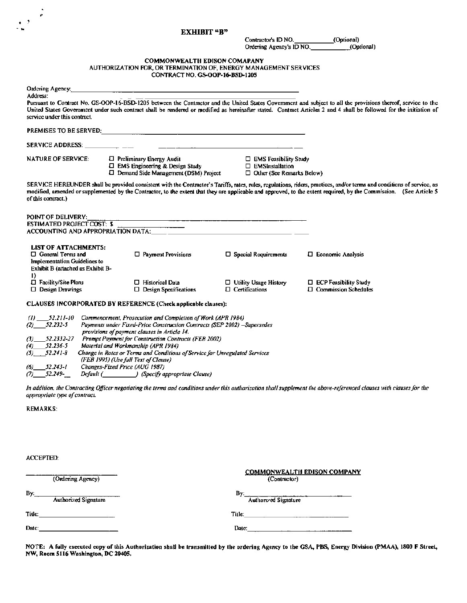#### EXHIBIT "B"

Contractor's ID NO. (Optional)<br>Ordering Agency's ID NO. (Optional)

## COMMONWEALTH EDISON COMAPANY<br>AUTHORIZATION FOR, OR TERMINATION OF, ENERGY MANAGEMENT SERVICES CONTRACT NO. GS.OOP-16-BSD-1205

| Ordering Agency:                                                                                                                                                                                                               |                                                                                                                                                                                                                                                                                                                                                                       |                                                                                                                        |                                                                                                                                                                                                                                                                                                                                               |
|--------------------------------------------------------------------------------------------------------------------------------------------------------------------------------------------------------------------------------|-----------------------------------------------------------------------------------------------------------------------------------------------------------------------------------------------------------------------------------------------------------------------------------------------------------------------------------------------------------------------|------------------------------------------------------------------------------------------------------------------------|-----------------------------------------------------------------------------------------------------------------------------------------------------------------------------------------------------------------------------------------------------------------------------------------------------------------------------------------------|
| Address:<br>service under this contract.                                                                                                                                                                                       |                                                                                                                                                                                                                                                                                                                                                                       |                                                                                                                        | Pursuant to Contract No. GS-OOP-16-BSD-1205 between the Contractor and the United States Government and subject to all the provisions thereof, service to the<br>United States Government under such contract shall be rendered or modified as hereinafter stated. Contract Articles 2 and 4 shall be followed for the initiation of          |
|                                                                                                                                                                                                                                |                                                                                                                                                                                                                                                                                                                                                                       |                                                                                                                        |                                                                                                                                                                                                                                                                                                                                               |
| SERVICE ADDRESS: And the contract of the contract of the contract of the contract of the contract of the contract of the contract of the contract of the contract of the contract of the contract of the contract of the contr |                                                                                                                                                                                                                                                                                                                                                                       | <u> 1990 - Jan Barn Barn, mars and de la partie de la partie de la partie de la partie de la partie de la partie d</u> |                                                                                                                                                                                                                                                                                                                                               |
| <b>NATURE OF SERVICE:</b>                                                                                                                                                                                                      | D Preliminary Energy Audit<br>$\square$ EMS Engineering & Design Study<br>$\square$ Demand Side Management (DSM) Project                                                                                                                                                                                                                                              | <b>D</b> EMS Feasibility Study<br>$\Box$ EMSInstallation<br>$\Box$ Other (See Remarks Below)                           |                                                                                                                                                                                                                                                                                                                                               |
| of this contract.)                                                                                                                                                                                                             |                                                                                                                                                                                                                                                                                                                                                                       |                                                                                                                        | SERVICE HEREUNDER shall be provided consistent with the Contructor's Tariffs, rates, rules, regulations, riders, practices, and/or terms and conditions of service, as<br>modified, amended or supplemented by the Contractor, to the extent that they are applicable and approved, to the extent required, by the Commission. (See Article 5 |
| POINT OF DELIVERY:<br><b>ESTIMATED PROJECT COST: \$</b>                                                                                                                                                                        | ACCOUNTING AND APPROPRIATION DATA: THE COMMUNICATION OF THE CONTRACT OF THE CONTRACT OF THE CONTRACT OF THE CO                                                                                                                                                                                                                                                        |                                                                                                                        |                                                                                                                                                                                                                                                                                                                                               |
| <b>LIST OF ATTACHMENTS:</b><br>$\Box$ General Terms and<br>Implementation Guidelines to<br>Exhibit B (attached as Exhibit B-                                                                                                   | $\Box$ Payment Provisions                                                                                                                                                                                                                                                                                                                                             | $\Box$ Special Requirements                                                                                            | $\Box$ Economic Analysis                                                                                                                                                                                                                                                                                                                      |
| D.<br>□ Facility/Site Plans<br>$\Box$ Design Drawings                                                                                                                                                                          | □ Historical Data<br>$\Box$ Design Specifications                                                                                                                                                                                                                                                                                                                     | $\Box$ Utility Usage History<br>$\Box$ Certifications                                                                  | $\Box$ ECP Feasibility Study<br>$\Box$ Commission Schedules                                                                                                                                                                                                                                                                                   |
|                                                                                                                                                                                                                                | CLAUSES INCORPORATED BY REFERENCE (Check applicable clauses):                                                                                                                                                                                                                                                                                                         |                                                                                                                        |                                                                                                                                                                                                                                                                                                                                               |
| $(1)$ 52.211-10<br>$(2)$ 52.232-5<br>(3)<br>52.2332-27<br>52.236-5<br>(4)<br>$(5)$ $52.241-8$                                                                                                                                  | Cammencement, Prosecution and Completion of Work (APR 1984)<br>Payments under Fixed-Price Construction Contracts (SEP 2002) -Supersedes<br>provisions of payment clauses in Article 14.<br>Prompt Payment for Construction Contracts (FEB 2002)<br>Material and Workmanship (APR 1984)<br>Change in Rates or Terms and Conditions of Service for Unregulated Services |                                                                                                                        |                                                                                                                                                                                                                                                                                                                                               |
| 52.243-1<br>(6) —<br>$(7)$ 52.249-                                                                                                                                                                                             | (FEB 1995) (Use full Text of Clause)<br>Changes-Fixed Price (AUG 1987)<br>Default (Specify appropriate Clause)                                                                                                                                                                                                                                                        |                                                                                                                        |                                                                                                                                                                                                                                                                                                                                               |
| appropriate type of contract.                                                                                                                                                                                                  |                                                                                                                                                                                                                                                                                                                                                                       |                                                                                                                        | In addition, the Contracting Officer negoriating the terms and canditions under this autharization shall supplement the above-referenced clauses with clauses for the                                                                                                                                                                         |
| <b>REMARKS:</b>                                                                                                                                                                                                                |                                                                                                                                                                                                                                                                                                                                                                       |                                                                                                                        |                                                                                                                                                                                                                                                                                                                                               |
|                                                                                                                                                                                                                                |                                                                                                                                                                                                                                                                                                                                                                       |                                                                                                                        |                                                                                                                                                                                                                                                                                                                                               |
| <b>ACCEPTED:</b>                                                                                                                                                                                                               |                                                                                                                                                                                                                                                                                                                                                                       |                                                                                                                        |                                                                                                                                                                                                                                                                                                                                               |
| (Ordering Agency)                                                                                                                                                                                                              |                                                                                                                                                                                                                                                                                                                                                                       | (Contractor)                                                                                                           | <b>COMMONWEALTH EDISON COMPANY</b>                                                                                                                                                                                                                                                                                                            |
| By:<br><b>Authorized Signature</b>                                                                                                                                                                                             |                                                                                                                                                                                                                                                                                                                                                                       | By:<br>Authorized Signature                                                                                            |                                                                                                                                                                                                                                                                                                                                               |

Title: \_\_\_\_\_\_\_\_\_\_ Title; \_\_\_\_\_\_\_\_\_\_\_\_\_\_ Date;\_\_\_\_\_\_\_\_\_\_ Date:\_\_\_\_\_\_\_\_\_\_\_\_\_\_

..

 $\mathbb{R}^3$ 

NOTE: A fully executed copy of this Authorization shall be transmitted by the ordering Agency to the GSA, PBS, Energy Division (PMAA), 1800 F Street, NW, Room 5116 Washington, DC 20405.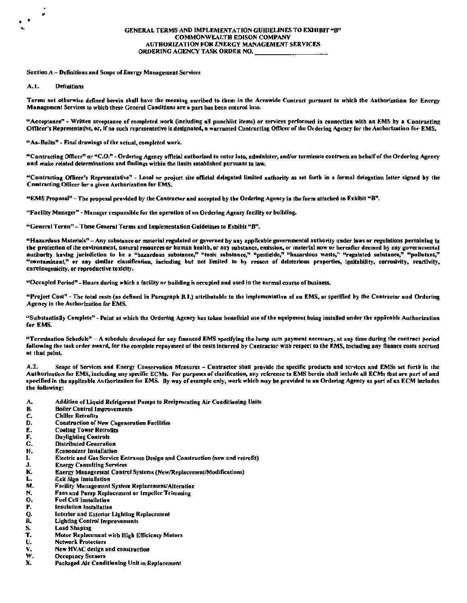Section A - Definitions and Scope of Energy Management Services

 $A.1.$ **Definitions** 

 $\cdot$   $\cdot$ 

Terms not otherwise defined berein shall have the meaning ascribed to them in the Areawide Contract pursuant to which the Authorization for Energy Management Services to which these General Conditions are a part has been entered into.

"Acceptance" - Written acceptance of completed work (including all punchlist items) or services performed in connection with an EMS by a Contracting Officer's Representative, or, if no such representative is designated, a warranted Contracting Officer of the Ordering Agency for the Authorization for EMS.

"As-Builts" - Final drawings of the actual, completed work.

"Contracting Officer" or "C.O." - Ordering Agency official authorized to enter into, administer, and/or terminate contracts on behalf of the Ordering Agency and make related determinations and findings within the limits established pursuant to law.

"Contracting Officer's Representative" - Local or project site official delegated limited authority as set fortb in a formal delegation letter signed by the Contracting Officer for a given Authorization for EMS.

"EMS Proposal" - The proposal provided by the Contractor and accepted by the Ordering Agency in the form attached to Exhibit "B".

"Facility Manager" - Manager responsible for the operation of an Ordering Agency facility or building.

"General Terms" - These General Terms and Implementation Guidelines to Exhibit "B".

"Hazardous Materials" - Any substance or material regulated or governed by any applicable governmental authority under laws or regulations pertaining to the protection of the environment, natural resources or human health, or any substance, emission, or material now or hereafter deemed by any governmental<br>authority having jurisdiction to be a "hazardous substance," "toxic "contaminant," or any similar classification, including but not limited to by reason of deleterious properties, ignitability, corrosivity, reactivity, carcinogenicity, or reproductive toxicity.

"Occupied Period" - Hours during which a facility or building is occupied and used in the normal course of business.

"Project Cost" - The total costs (as defined in Paragraph B.I.) attributable to the implementation of an EMS, as specified by the Contractor and Ordering Agency in the Authorization for EMS.

"Substantially Complete" - Point at which the Ordering Agency has taken beneficial use of the equipment being installed under the applicable Authorization for EMS.

"Termination Schedule" - A schedule developed for any financed EMS specifying the lump sum payment necessary, at any time during the contract period following the task order award, for the complete repayment of the costs incurred by Contractor with respect to the EMS, including any finance costs accrued at that point.

Scope of Services and Energy Conservation Measures - Contractor shall provide the specific products and services and EMSs set forth in the  $A.2.$ Authorization for EMS, including any specific ECMs. For purposes of clarification, any reference to EMS herein shall include all ECMs that are part of and specified in the applicable Authorization for EMS. By way of example only, work which may be provided to an Ordering Agency as part of an ECM includes the following:

А. Addition of Liquid Refrigerant Pumps to Reciprocating Air Conditioning Units

- **B. Boiler Control Improvements**
- $\mathbf{C}$ **Chiller Retrofits**
- D. **Construction of New Cogeneration Facilities**
- £. **Cooling Tower Retrofits**
- F. **Daylighting Controls**
- G. **Distributed Generation**
- H. **Economizer Installation**
- Electric and Gas Service Entrance Design and Construction (new and retrofit) I.
- J. **Energy Consulting Services**
- K. Energy Management Control Systems (New/Replacement/Modifications)
- L. **Exit Sign Installation**
- M. Facility Management System Replacement/Alteration
- N. Fans and Pump Replacement or Impeller Trimming
- $\dddot{\mathbf{o}}$ . **Fuel Cell Installation**
- P. **Insulation Installation**
- $\frac{Q}{R}$ Interior and Exterior Lighting Replacement
- **Lighting Control Improvements**
- $\frac{S}{T}$ . **Load Shaping**
- Motor Replacement with High Efficiency Motors
- U. **Network Protectors**
- V. New HVAC design and construction
- w. **Occupancy Sensors**
- X. Packaged Air Conditioning Unit in Replacement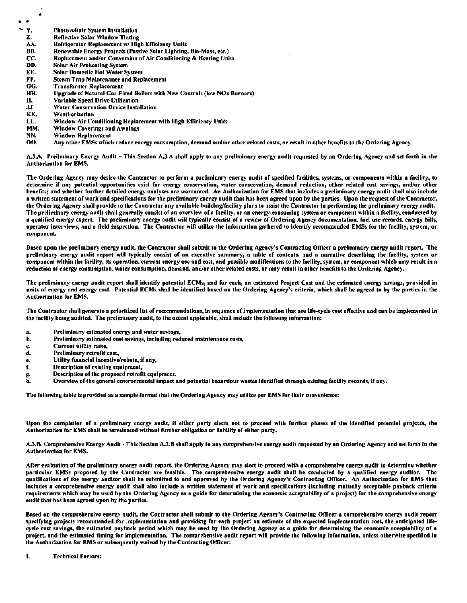- $\bullet$ 
	- Y. Photovoltaic System Installation
	- **Reflective Solar Window Tinting** Z.
	- A۸. Refrigerator Replacement w/ High Efficiency Units RR.
	- Renewable Energy Projects (Passive Solar Lighting, Bio-Mass, etc.)
	- CC. Replacement and/or Conversion of Air Conditioning & Heating Units
	- DD. **Solar Air Prehenting System** EE.
	- **Solar Domestle Hot Water System** FF. Steam Trap Maintenance and Replacement
	- GG. **Transformer Replacement**
	- HH. Upgrade of Natural Gas-Fired Boilers with New Controls (low NOx Burners)
	- П. **Variable Speed Drive Utilization**
	- JJ. **Water Conservation Device Installation**
	- KK. Weatherization
	- Window Air Conditioning Replacement with High Efficiency Units LL.
	- MM. **Window Coverings and Awnings**
	- NN. **Window Replacement**
	- OO. Any other EMSs which reduce energy consumption, demand and/or other related costs, or result in other benefits to the Ordering Agency

A.3.A. Preilminary Energy Audit – This Section A.3.A shall apply to any preilminary energy audit requested by an Ordering Agency and set forth in the **Authorization for EMS.** 

The Ordering Agency may desire the Contractor to perform a preliminary energy audit of specified facilities, systems, or components within a facility, to determine if any potential opportunities exist for energy conservation, water conservation, demand reduction, other related cost savings, and/or other benefits; and whether further detailed energy analyses are warranted. An Authorization for EMS that includes a preliminary energy audit shall also include a written statement of work and specifications for the preliminary energy audit that has been agreed upon by the parties. Upon the request of the Contractor, the Ordering Agency shall provide to the Contractor any available building/facility plans to assist the Contractor in performing the preliminary energy audit. The preliminary energy audit shall generally consist of an overview of a facility, or an energy-consuming system or component within a facility, conducted by a qualified energy expert. The preliminary energy audit will typically consist of a review of Ordering Agency documentation, fuel use records, energy bills, operator interviews, and a field inspection. The Contractor will utilize the information gathered to identify recommended EMSs for the facility, system, or component.

Based upon the preliminary energy audit, the Contractor shall submit to the Ordering Agency's Contracting Officer a preliminary energy audit report. The preliminary energy audit report will typically consist of an executive summary, a table of contents, and a narrative describing the facility, system or .<br>component within the facility, its operation, current energy use and cost, and possible modifications to the facility, system, or component which may result in a reduction of energy consumption, water consumption, demand, and/or other related costs, or may result in other benefits to the Ordering Agency.

The preliminary energy audit report shall identify potential ECMs, and for each, an estimated Project Cost and the estimated energy savings, provided in units of energy and energy cost. Potential ECMs shall be identified based on the Ordering Agency's criteria, which shall be agreed to by the parties in the **Authorization for EMS.** 

The Contractor shall generate a prioritized list of recommendations, in sequence of implementation that are life-cycle cost effective and can be implemented in the facility being audited. The preliminary audit, to the extent applicable, shall include the following information:

- Preliminary estimated energy and water savings, А.
- Preliminary estimated cost savings, including reduced maintenance costs, h.
- Current utility rates, c.
- Preliminary retrofit cost, d.
- Utility financial incentive/rebate, if any, e.
- Description of existing equipment, £.
- Description of the proposed retrofit equipment, g,
- Overview of the general environmental impact and potential hazardous wastes identified through existing facility records, if any. h.

The following table is provided as a sample format that the Ordering Agency may utilize per EMS for their convenience:

Upon the completion of a preliminary energy audit, if either party elects not to proceed with further phases of the identified potential projects, the Authorization for EMS shall be terminated without further obligation or liability of either party.

A.3.B. Comprehensive Energy Audit - This Section A.3.B shall apply to any comprehensive energy audit requested by an Ordering Agency and set forth in the **Authorization for EMS.** 

After evaluation of the preliminary energy audit report, the Ordering Agency may elect to proceed with a comprehensive energy audit to determine whether particular EMSs proposed by the Contractor are feasible. The comprehensive energy audit shall be conducted by a qualified energy auditor. The qualifications of the energy auditor shall be submitted to and approved by the Ordering Agency's Contracting Officer. An Authorization for EMS that includes a comprehensive energy audit shall also include a written statement of work and specifications (including mutually acceptable payback criteria requirements which may be used by the Ordering Agency as a guide for determining the economic acceptability of a project) for the comprehensive energy audit that has been agreed upon by the parties.

Based on the comprehensive energy audit, the Contractor shall submit to the Ordering Agency's Contracting Officer a comprehensive energy audit report specifying projects recommended for Implementation and providing for each project an estimate of the expected implementation cost, the anticipated lifecycle cost savings, the estimated payback period which may be used by the Ordering Agency as a guide for determining the economic acceptability of a project, and the estimated timing for implementation. The comprehensive audit report will provide the following information, unless otherwise specified in the Authorization for EMS or subsequently waived by the Contracting Officer:

L. **Technical Factors:**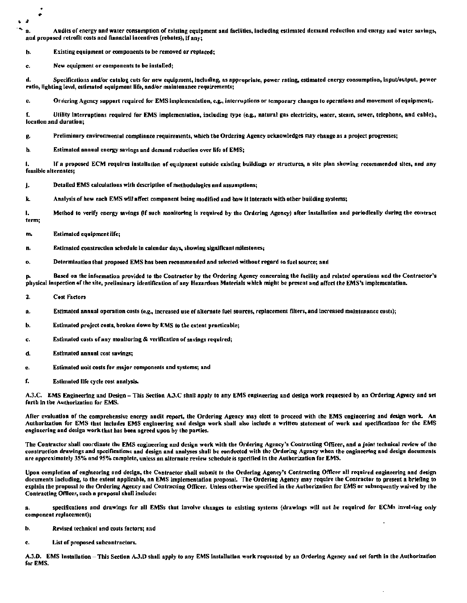<sup>\*</sup> a. Audits of energy and water consumption of existing equipment and facilities, including estimated demand reduction and energy and water savings, and proposed retrofit costs and financial incentives (rebates), if any;

b. Existing equipment or components to be removed or replaced;

c. New equipment or components to be installed;

d. Specifications and/or catalog cuts for new equipment, including, as appropriate, power rating, estimated energy consumption, input/output, power ratio, lighting level, estimated equipment life, and/or maintenance requirements;

e. Ordering Agency support required for EMS implementation, e.g., interruptions or temporary changes to operations and movement of equipment;.

f. Utility Interruptions required for EMS implementation, including type (e.g., natural gas electricity, water, steam, sewer, telephone, and nble)., location and duration;

p. Preliminary environmental compliance requirements, which the Ordering Agency neknowledges may change as a project progresses;

h. Estimated annual energy savings and demand reduction over life of EMS;

i. If a proposed ECM requires installation of equipment outside existing buildings or structures, a site plan showing recommended sites, and any feasible alternates;

- j. Detailed EMS calculations with description of methodologies and assumptions;
- k. Analysis of how each EMS will affect component being modified and how it interacts with other building systems;

I. Method to verify energy savings (If such monitoring is required by the Ordering Agency) after installation and periodically during the contract term;

 $-2$ 

```
m. Estimated equipment life;
```
- n. Estimated construction schedule in calendar days, showing significant milestones;
- o. Determination that proposed EMS has been recommended and selected without regard to fuel source; and

Based on the information provided to the Contractor by the Ordering Agency concerning the facility and related operations and the Contractor's pliysical inspection of the site, preliminary identification of any Hazardous Materials which might be present and affect the EMS's implementation.

- 2. Cost Factors
- Estimated annual operation costs (e.g., Increased use of alternate fuel sources, replacement filters, and increased maintenance costs);
- b. Estimated project costs, broken down by EMS to the extent practicable;
- *c.* Estimated costs or any monitoring & verification or savings required;
- d. Estimated annual cost savings;
- e. Estimated unit costs for major components and systems; and
- f. Estimated life cycle cost analysis.

A.3.C. EMS Engineering and Design - This Section A.3.C shall apply to any EMS engineering and design work requested by an Ordering Agency and set forth in the Authorization for EMS.

After evaluation of the comprehensive energy audit report, the Ordering Agency may elect to proceed with the EMS engineering and design work. An Authorization for EMS that Includes EMS engineering and design work shall also Include a written statement of work and speclftcallons for the EMS engineering and design work that has been agreed upon by the parties.

The Contractor shall coordinate the EMS engineering and design work with the Ordering Agency's Contracting Officer, and a joint technical review of the construction drawings and specifications and design and analyses shall be conducted with the Ordering Agency when the engineering and design documents are approximately 35% and 95% complete, unless an alternate review schedule is specified in the Authorization for EMS.

Upon completion of engineering and design, the Contractor shall submit to the Ordering Agency's Contracting Officer all required engineering and design documents including, to the extent applicable, an EMS implementation proposal. The Ordering Agency may require the Contractor to present a briefing to explain the proposal to the Ordering Agency and Contracting Officer. Unless otherwise specified in the Authorization for EMS or subsequently waived by the Contracting Officer, such a proposal shall indude:

a. specifications and drawings for all EMSs that involve changes to existing systems (drawings will not be required for ECMs involving only component replacement);

- b. Revised technical and costs factors; and
- c. List of proposed subcontractors.

A.3.D. EMS Installation - This Section A.3.D shall apply to any EMS installation work requested by an Ordering Agency and set forth in the Authorization for EMS.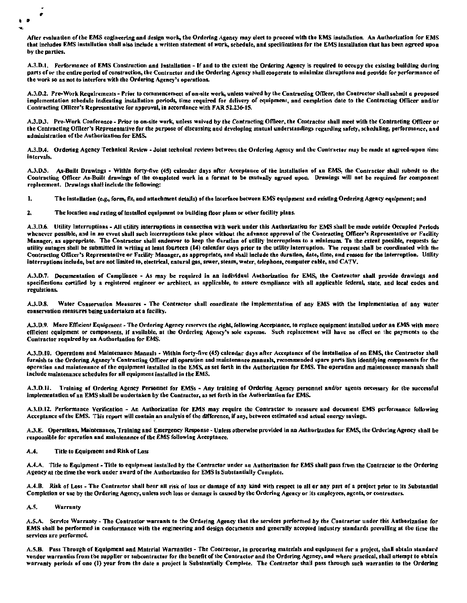• •

After evaluation of the EMS engineering and design work, the Ordering Agency may elect to proceed with the EMS installation. An Authorization for EMS that includes EMS installation shall also include a written statement of work, schedule, and specifications for the EMS installation that has been agreed upon by the parties.

A.3.D.1. Performance of EMS Construction and Installation - If and to the extent the Ordering Agency is required to occupy the existing building during parts ofor the entire period of construction. the Contractor and the Ordering Agency shall cooperate to minimize disruptions and provide for performnncc of the work so as not to interfere with the Ordering Agency's operations.

A.J.D.2. Pre-Work Requirements - Prior to commencement of on-site work, unless waived by the Contracting Officer, the Contractor shall submit a proposed implementation schedule Indicating installalion periods, time required for delivery of equipment, and completion date to the Contracting Officer and/or Contracting Officer's Representative for approval, in accordance with FAR 52.236-15.

A.3.D.3. Pre-Work Conference - Prior to on-site work, unless waived by the Contracting Officer, the Contractor shall meet with the Contracting Officer or the Contracting Officer's Representative for the purpose of discussing and developing mutual understandings regarding safety, scheduling, performance, and administration of the Authorization for EMS.

A.3.D.4. Ordering Agency Technical Review - Joint technical reviews between the Ordering Agency and the Contractor may be made at agreed-upon time Intervals.

A.3.D.5. As-Built Drawings - Within forty-five (45) calendar days after Acceptance of the installation of an EMS, the Contractor shall submit to the Contracting Officer As-Built drawings of the completed work in a format to be mutually agreed upon. Drawings will not be required for component replacement. Drawings shall indude the following:

1. The Installation (e.g., form, fit, and attachment details) of the interface between EMS equipment and existing Ordering Agency equipment; and

2. The location and rating of Installed equipment on building floor plans or other facility plans.

A.3.D.6. Utility Interruptions - All utility interruptions in connection with work under this Authorization for EMS shall be made outside Occupied Periods whenever possible, and in no event shall such interruptions take place without the advance approval of the Contracting Officer's Representative or Facility Manager, as appropriate. The Contractor shall endeavor to keep the duration of utility interruptions to a minimum. To the extent possible, requests for utility outages shall be submitted in writing at least fourteen (14) calendar days prior to the utility interruption. The request shall be coordinated with the Contracting Officer's Representative or Facility Manager, as appropriate, and shall include the duration, date, time, and reason for the interroption. Utility Interruptions Include, but are not limited to, electrical, natural gas, sewer, steam, water, telephone, computer cable, and CATV.

A.3.D.7. Documentation of Compliance - As may be required in an individuul Authorization for EMS, the Contractor shall provide drawings and specifications certified by a registered engineer or architect, as applicable, to assure compliance with all applicable federal, state, and local codes and regulations.

A.3.D.8. Water Conservation Measures - The Contractor shall coordinate the implementation of any EMS with the Implementation of any water conservation measures being undertaken at a faclllty.

A.3.D.9. More Efficient Equipment - The Ordering Agency reserves the right, following Acceptance, to replace equipment installed under an EMS with more efficient equipment or components, if available, at the Ordering Agency's sole expense. Such replacement will have no effect on the payments to the Contractor required by an Authorization for EMS.

A.J.D.10. Operations and Maintenance Manuals - Within forty-five (45) calendar days after Acceptance of the installation of an EMS, the Contractor shall furnish to the Ordering Agency's Contracting Officer all operation and maintenance manuals, recommended spare parts lists identifying components for the operation and maintenance of the equipment installed in the EMS, as set forth in the Authorization for EMS. The operation and maintenance manuals shall include maintenance schedules for all equipment installed in the EMS.

A.3.D.11. Training of Ordering Agency Personnel for EMSs - Any training of Ordering Agency personnel and/or agents necessary for the successful implementation ofan EMS shall be undertaken by the Contractor, as set forth In the Authorization for EMS.

A.3.D.12. Performance Verification - An Authorization for EMS may require the Contractor to measure and document EMS performance following Acceptance of the EMS. This report will contain an analysis of the difference, if any, between estimated and actual energy savings.

A.J.E. Operations, Maintenance, Training and Emergency Response - Unless otherwise provided in an Authorization for EMS, the Ordering Agency shall be responsible for operation and maintenance of the EMS following Acceptance.

A.4. Title to Equipment and Risk of Loss

A.4.A. Title to Equipment ·Title to equipment installed by tbe Contractor under an Authorization for EMS shall pass frvm the Contractor to the Ordering Agency at the time the work under award ofthe Autborlzatfon for EMS Is Substantially Complete.

A.4.B. Risk of Loss - The Contractor shall bear all risk of loss or damage of any kind with respect to all or any part of a project prior to its Substantial Completion or use by the Ordering Agency, unless such loss or damage is caused by the Ordering Agency or its employees, agents, or contractors.

A.5. Warranty

A.S.A. Service Warranty - The Contractor warrants to the Ordering Agency that the services performed by the Contractor under this Authorization for EMS shall be performed in conformance with the engineering and design documents and generally accepted industry standards prevailing at the time the services are performed.

A.5.B. Pass Through of Equipment and Material Warranties - The Contractor, in procuring materials and equipment for a project, shall obtain standard vendor warranties from the supplier or subcontractor for the benefit of the Contractor and the Ordering Agency, and where practical, shall attempt to obtain warranty periods of one (I) year from the date a project is Substantially Complete. The Contractor shall pass through such warranties to the Ordering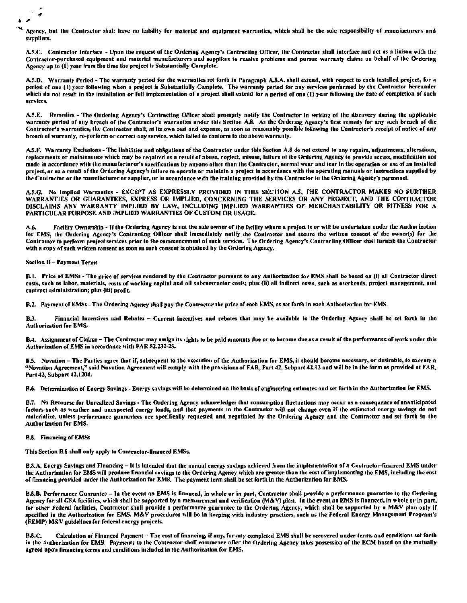- Agency, but the Contractor shall have no liability for material and equipment warrantics, which shall be the sole responsibility of manufacturers und suppliers.

A.5.C. Contractor Interface - Upon the request of the Ordering Agency's Contracting Officer, the Contractor shall interface and act as a liaison with the Contractor-purchased equipment and material manufacturers and suppliers to resolve problems and pursue warranty claims on behalf of the Ordering Agency up to (1) year from the time the project is Substantially Complete.

A.5.D. Warranty Period - The warranty period for the warranties set forth in Paragraph A.8.A. shall extend, with respect to each installed project, for a period of one (1) year following when a project is Substantially Complete. The warranty period for any services performed by the Contractor hereunder which do not result in the installation or full implementation of a project shall extend for a period of one (I) year following the date of completion of such services.

A.5.E. Remedies - The Ordering Agency's Contracting Officer shall promptly notify the Contractor in writing of the discovery during the applicable warranty period of any breach of the Contractor's warranties under this Section A.8. As the Ordering Agency's first remedy for any such breach of the Contractor's warranties, the Contractor shall, at its own cost and expense, as soon as reasonably possible following the Contractor's receipt of notice of any breach of warranty, re-perform or correct any service, which failed to conform to the above warranty.

A.5.F. Warranty Exclusions - The liabilities and obligations of the Contractor under this Section A.8 do not extend to any repairs, adjustments, alterations, replacements or maintenance which may be required as a result of abuse, neglect, misuse, failure of the Ordering Agency to provide access, modification not made in accordance with the manufacturer's specifications by anyone other than the Contractor, normal wear and tear in the operation or use of an installed project, or as a result of the Ordering Agency's failure to operate or maintain a project in accordance with the operating manuals or instructions supplied by the Contractor or the manufacturer or supplier, or in accordance with the training provided by the Contractor to the Ordering Agency's personnel.

A.5.G. No Implied Warranties - EXCEPT AS EXPRESSLY PROVIDED IN THIS SECTION A.5, THE CONTRACTOR MAKES NO FURTHER WARRANTIES OR GUARANTEES, EXPRESS OR IMPLIED, CONCERNING THE SERVICES OR ANY PROJECT, AND THE CONTRACTOR DISCLAIMS ANY WARRANTY IMPLIED BY LAW, INCLUDING IMPLIED WARRANTIES OF MERCHANTABILITY OR FITNESS FOR A PARTICULAR PURPOSE AND IMPLIED WARRANTIES OF CUSTOM OR USAGE.

Facility Ownership - If the Ordering Agency is not the sole owner of the facility where a project is or will be undertaken under the Authorization A.6 for EMS, the Ordering Agency's Contracting Officer shall immediately notify the Contractor and secure the written consent of the owner(s) for the Contractor to perform project services prior to the commencement of such services. The Ordering Agency's Contracting Officer shall furnish the Contractor with a copy of such written consent as soon as such consent is obtained by the Ordering Agency.

**Section B - Payment Terms** 

 $\bullet$ 

B.J. Price of EMSs - The price of services rendered by the Contractor pursuant to any Authorization for EMS shall be based on (i) all Contractor direct costs, such as labor, materials, costs of working capital and all subcontractor costs; plus (ii) all indirect costs, such as overheads, project management, and contract administration; plus (iii) profit.

B.2. Payment of EMSs - The Ordering Agency shall pay the Contractor the price of each EMS, as set forth in each Authorization for EMS.

Financial Incentives and Rebates - Current incentives and rebates that may be available to the Ordering Agency shall be set forth in the **R3 Authorization for EMS.** 

B.4. Assignment of Claims - The Contractor may assign its rights to be paid amounts due or to become due as a result of the performance of work under this Authorization of EMS in accordance with FAR 52.232-23.

B.5. Novation - The Parties agree that if, subsequent to the execution of the Authorization for EMS, it should become necessary, or desirable, to execute a "Novation Agreement," said Novation Agreement will comply with the provisions of FAR, Part 42, Subpart 42.12 and will be in the form as provided at FAR, Part 42, Subpart 42.1204.

B.6. Determination of Energy Savings - Energy sayings will be determined on the basis of engineering estimates and set forth in the Authorization for EMS.

B.7. No Recourse for Unrealized Savings - The Ordering Agency acknowledges that consumption fluctuations may occur as a consequence of unanticipated factors such as weather and unexpected energy loads, and that payments to the Contractor will not change even if the estimated energy savings do not materialize, unless performance guarantees are specifically requested and negotiated by the Ordering Agency and the Contractor and set forth in the Authorization for EMS.

#### **B.8.** Financing of EMSs

This Section B.8 shall only apply to Contractor-financed EMSs.

B.S.A. Energy Savings and Financing – It is Intended that the annual energy savings achieved from the implementation of a Contractor-financed EMS under the Authorization for EMS will produce financial savings to the Ordering Agency which are greater than the cost of implementing the EMS, including the cost of linancing provided under the Authorization for EMS. The payment term shall be set forth in the Authorization for EMS.

B.8.B. Performance Guarantee - In the event an EMS is financed, in whole or in part, Contractor shall provide a performance guarantee to the Ordering Agency for all GSA facilities, which shall be supported by a measurement and verification (M&V) plan. In the event an EMS is financed, in whole or in part, for other Federal facilities, Contractor shall provide a performance guarantee to the Ordering Agency, which shall be supported by a M&V plan only if specified in the Authorization for EMS. M&V procedures will be in keeping with industry practices, such as the Federal Energy Management Program's (FEMP) M&V guidelines for federal energy projects.

Calculation of Financed Payment - The cost of financing, if any, for any completed EMS shall be recovered under terms and conditions set forth B.R.C. in the Authorization for EMS. Payments to the Contractor shall commence after the Ordering Agency takes possession of the ECM based on the mutually agreed upon financing terms and conditions included in the Authorization for EMS.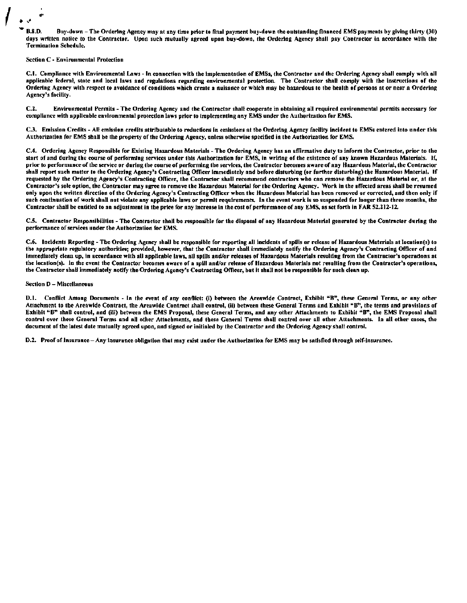**R.8.D.** Buy-down - The Ordering Agency may at any time prior to final payment buy-down the outstanding financed EMS payments by giving thirty (30) days written notice to the Contractor. Upon such mutually agreed upon buy-down, the Ordering Agency shall pay Contractor in accordance with the **Termination Schedule.** 

#### **Section C - Environmental Protection**

C.I. Compliance with Environmental Laws - In connection with the implementation of EMSs, the Contractor and the Ordering Agency shall comply with all applicable federal, state and local laws and regulations regarding environmental protection. The Contractor shall comply with the instructions of the Ordering Agency with respect to avoidance of conditions which create a nuisance or which may be bazardous to the health of persons at or near a Ordering Agency's facility.

 $C.2.$ Environmental Permits - The Ordering Agency and the Contractor shall cooperate in obtaining all required environmental permits necessary for compliance with applicable environmental protection laws prior to implementing any EMS under the Authorization for EMS.

C.3. Emission Credits - All emission credits attributable to reductions in emissions at the Ordering Agency facility incident to EMSs entered into under this Authorization for EMS shall be the property of the Ordering Agency, unless otherwise specified in the Authorization for EMS.

C.4. Ordering Agency Responsible for Existing Hazardous Materials - The Ordering Agency has an affirmative duty to inform the Contractor, prior to the start of and during the course of performing services under this Authorization for EMS, in writing of the existence of any known Hazardous Materials. If, prior to performance of the service or during the course of performing the services, the Contractor becomes aware of any Hazardous Material, the Contractor shall report such matter to the Ordering Agency's Contracting Officer immediately and before disturbing (or further disturbing) the Hazardous Material. If requested by the Ordering Agency's Contracting Officer, the Contractor shall recommend contractors who can remove the Hazardous Material or, at the Contractor's sole option, the Contractor may agree to remove the Hazardous Material for the Ordering Agency. Work in the affected areas shall be resumed only upon the written direction of the Ordering Agency's Contracting Officer when the Hazardous Material has been removed or corrected, and then only if such continuation of work shall not violate any applicable laws or permit requirements. In the event work is so suspended for longer than three months, the Contractor shall be entitled to an adjustment in the price for any increase in the cost of performance of any EMS, as set forth in FAR 52.212-12.

C.5. Contractor Responsibilities - The Contractor shall be responsible for the disposal of any Hazardous Material generated by the Contractor during the performance of services under the Authorization for EMS.

C.6. Incidents Reporting - The Ordering Agency shall be responsible for reporting all incidents of spills or release of Hazardous Materials at location(s) to the appropriate regulatory authorities; provided, however, that the Contractor shall immediately notify the Ordering Agency's Contracting Officer of and immediately clean up, in accordance with all applicable laws, all spills and/or releases of Hazardous Materials resulting from the Contractor's operations at the location(s). In the event the Contractor becomes aware of a spill and/or release of Hazardous Materials not resulting from the Contractor's operations, the Contractor shall immediately notify the Ordering Agency's Contracting Officer, but it shall not be responsible for such clean up.

#### Section D - Miscellaneous

D.1. Conflict Among Documents - In the event of any conflict: (i) between the Areawide Contract, Exhibit "B", these General Terms, or any other Attachment to the Areawide Contract, the Areawide Contract shall control, (ii) between these General Terms and Exhibit "B", the terms and provisions of Exhibit "B" shall control, and (iii) between the EMS Proposal, these General Terms, and any other Attachments to Exhibit "B", the EMS Proposal shall control over these General Terms and all other Attachments, and these General Terms shall control over all other Attachments. In all other cases, the document of the latest date mutually agreed upon, and signed or initialed by the Contractor and the Ordering Agency shall control.

D.2. Proof of Insurance - Any insurance obligation that may exist under the Authorization for EMS may be satisfied through self-insurance.